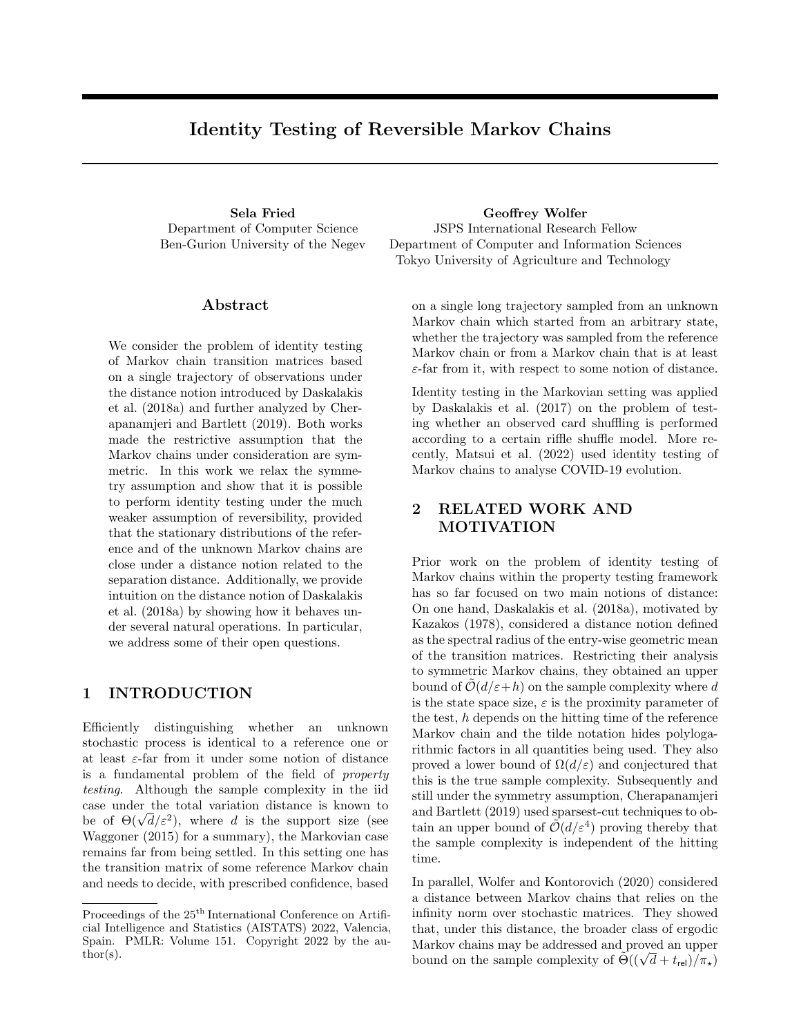# Identity Testing of Reversible Markov Chains

Department of Computer Science Ben-Gurion University of the Negev

#### Abstract

We consider the problem of identity testing of Markov chain transition matrices based on a single trajectory of observations under the distance notion introduced by Daskalakis et al. (2018a) and further analyzed by Cherapanamjeri and Bartlett (2019). Both works made the restrictive assumption that the Markov chains under consideration are symmetric. In this work we relax the symmetry assumption and show that it is possible to perform identity testing under the much weaker assumption of reversibility, provided that the stationary distributions of the reference and of the unknown Markov chains are close under a distance notion related to the separation distance. Additionally, we provide intuition on the distance notion of Daskalakis et al. (2018a) by showing how it behaves under several natural operations. In particular, we address some of their open questions.

## 1 INTRODUCTION

Efficiently distinguishing whether an unknown stochastic process is identical to a reference one or at least  $\varepsilon$ -far from it under some notion of distance is a fundamental problem of the field of property testing. Although the sample complexity in the iid case under the total variation distance is known to case under the total variation distance is known to<br>be of  $\Theta(\sqrt{d}/\varepsilon^2)$ , where d is the support size (see Waggoner (2015) for a summary), the Markovian case remains far from being settled. In this setting one has the transition matrix of some reference Markov chain and needs to decide, with prescribed confidence, based

Sela Fried Geoffrey Wolfer JSPS International Research Fellow Department of Computer and Information Sciences Tokyo University of Agriculture and Technology

> on a single long trajectory sampled from an unknown Markov chain which started from an arbitrary state, whether the trajectory was sampled from the reference Markov chain or from a Markov chain that is at least  $\varepsilon$ -far from it, with respect to some notion of distance.

> Identity testing in the Markovian setting was applied by Daskalakis et al. (2017) on the problem of testing whether an observed card shuffling is performed according to a certain riffle shuffle model. More recently, Matsui et al. (2022) used identity testing of Markov chains to analyse COVID-19 evolution.

# 2 RELATED WORK AND MOTIVATION

Prior work on the problem of identity testing of Markov chains within the property testing framework has so far focused on two main notions of distance: On one hand, Daskalakis et al. (2018a), motivated by Kazakos (1978), considered a distance notion defined as the spectral radius of the entry-wise geometric mean of the transition matrices. Restricting their analysis to symmetric Markov chains, they obtained an upper bound of  $\mathcal{O}(d/\varepsilon+h)$  on the sample complexity where d is the state space size,  $\varepsilon$  is the proximity parameter of the test,  $h$  depends on the hitting time of the reference Markov chain and the tilde notation hides polylogarithmic factors in all quantities being used. They also proved a lower bound of  $\Omega(d/\varepsilon)$  and conjectured that this is the true sample complexity. Subsequently and still under the symmetry assumption, Cherapanamjeri and Bartlett (2019) used sparsest-cut techniques to obtain an upper bound of  $\tilde{\mathcal{O}}(d/\varepsilon^4)$  proving thereby that the sample complexity is independent of the hitting time.

In parallel, Wolfer and Kontorovich (2020) considered a distance between Markov chains that relies on the infinity norm over stochastic matrices. They showed that, under this distance, the broader class of ergodic Markov chains may be addressed and proved an upper bound on the sample complexity of  $\tilde{\Theta}((\sqrt{d}+t_{\text{rel}})/\pi_{\star})$ 

Proceedings of the  $25^{\text{th}}$  International Conference on Artificial Intelligence and Statistics (AISTATS) 2022, Valencia, Spain. PMLR: Volume 151. Copyright 2022 by the au- $\text{thor}(s)$ .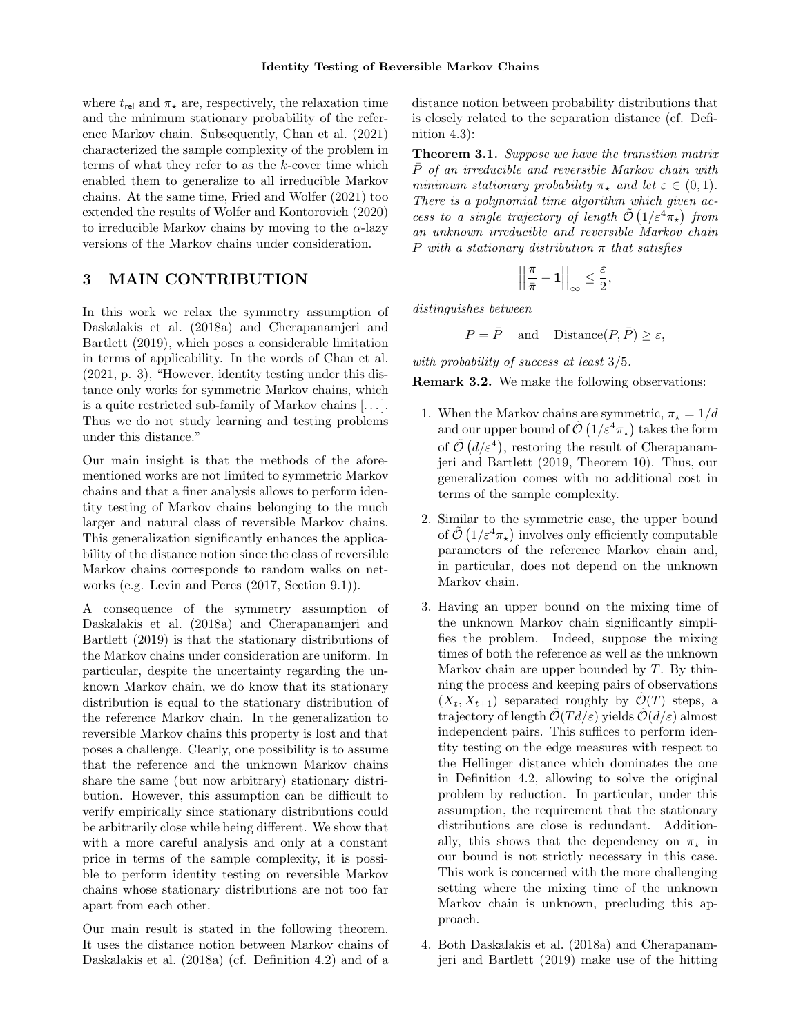where  $t_{rel}$  and  $\pi_{\star}$  are, respectively, the relaxation time and the minimum stationary probability of the reference Markov chain. Subsequently, Chan et al. (2021) characterized the sample complexity of the problem in terms of what they refer to as the k-cover time which enabled them to generalize to all irreducible Markov chains. At the same time, Fried and Wolfer (2021) too extended the results of Wolfer and Kontorovich (2020) to irreducible Markov chains by moving to the  $\alpha$ -lazy versions of the Markov chains under consideration.

## 3 MAIN CONTRIBUTION

In this work we relax the symmetry assumption of Daskalakis et al. (2018a) and Cherapanamjeri and Bartlett (2019), which poses a considerable limitation in terms of applicability. In the words of Chan et al. (2021, p. 3), "However, identity testing under this distance only works for symmetric Markov chains, which is a quite restricted sub-family of Markov chains [. . . ]. Thus we do not study learning and testing problems under this distance."

Our main insight is that the methods of the aforementioned works are not limited to symmetric Markov chains and that a finer analysis allows to perform identity testing of Markov chains belonging to the much larger and natural class of reversible Markov chains. This generalization significantly enhances the applicability of the distance notion since the class of reversible Markov chains corresponds to random walks on networks (e.g. Levin and Peres (2017, Section 9.1)).

A consequence of the symmetry assumption of Daskalakis et al. (2018a) and Cherapanamjeri and Bartlett (2019) is that the stationary distributions of the Markov chains under consideration are uniform. In particular, despite the uncertainty regarding the unknown Markov chain, we do know that its stationary distribution is equal to the stationary distribution of the reference Markov chain. In the generalization to reversible Markov chains this property is lost and that poses a challenge. Clearly, one possibility is to assume that the reference and the unknown Markov chains share the same (but now arbitrary) stationary distribution. However, this assumption can be difficult to verify empirically since stationary distributions could be arbitrarily close while being different. We show that with a more careful analysis and only at a constant price in terms of the sample complexity, it is possible to perform identity testing on reversible Markov chains whose stationary distributions are not too far apart from each other.

Our main result is stated in the following theorem. It uses the distance notion between Markov chains of Daskalakis et al. (2018a) (cf. Definition 4.2) and of a distance notion between probability distributions that is closely related to the separation distance (cf. Definition 4.3):

**Theorem 3.1.** Suppose we have the transition matrix P of an irreducible and reversible Markov chain with minimum stationary probability  $\pi_{\star}$  and let  $\varepsilon \in (0,1)$ . There is a polynomial time algorithm which given access to a single trajectory of length  $\tilde{\mathcal{O}}\left(1/\varepsilon^4\pi_\star\right)$  from an unknown irreducible and reversible Markov chain P with a stationary distribution  $\pi$  that satisfies

$$
\left|\left|\frac{\pi}{\bar{\pi}}-\mathbf{1}\right|\right|_{\infty}\leq\frac{\varepsilon}{2},
$$

distinguishes between

$$
P = \overline{P}
$$
 and Distance $(P, \overline{P}) \ge \varepsilon$ ,

with probability of success at least 3/5.

Remark 3.2. We make the following observations:

- 1. When the Markov chains are symmetric,  $\pi_{\star} = 1/d$ and our upper bound of  $\tilde{\mathcal{O}}\left(1/\varepsilon^4\pi_\star\right)$  takes the form of  $\tilde{\mathcal{O}}(d/\varepsilon^4)$ , restoring the result of Cherapanamjeri and Bartlett (2019, Theorem 10). Thus, our generalization comes with no additional cost in terms of the sample complexity.
- 2. Similar to the symmetric case, the upper bound of  $\tilde{\mathcal{O}}\left(1/\varepsilon^4 \pi_\star\right)$  involves only efficiently computable parameters of the reference Markov chain and, in particular, does not depend on the unknown Markov chain.
- 3. Having an upper bound on the mixing time of the unknown Markov chain significantly simplifies the problem. Indeed, suppose the mixing times of both the reference as well as the unknown Markov chain are upper bounded by  $T$ . By thinning the process and keeping pairs of observations  $(X_t, X_{t+1})$  separated roughly by  $\mathcal{O}(T)$  steps, a trajectory of length  $\mathcal{O}(Td/\varepsilon)$  yields  $\mathcal{O}(d/\varepsilon)$  almost independent pairs. This suffices to perform identity testing on the edge measures with respect to the Hellinger distance which dominates the one in Definition 4.2, allowing to solve the original problem by reduction. In particular, under this assumption, the requirement that the stationary distributions are close is redundant. Additionally, this shows that the dependency on  $\pi_{\star}$  in our bound is not strictly necessary in this case. This work is concerned with the more challenging setting where the mixing time of the unknown Markov chain is unknown, precluding this approach.
- 4. Both Daskalakis et al. (2018a) and Cherapanamjeri and Bartlett (2019) make use of the hitting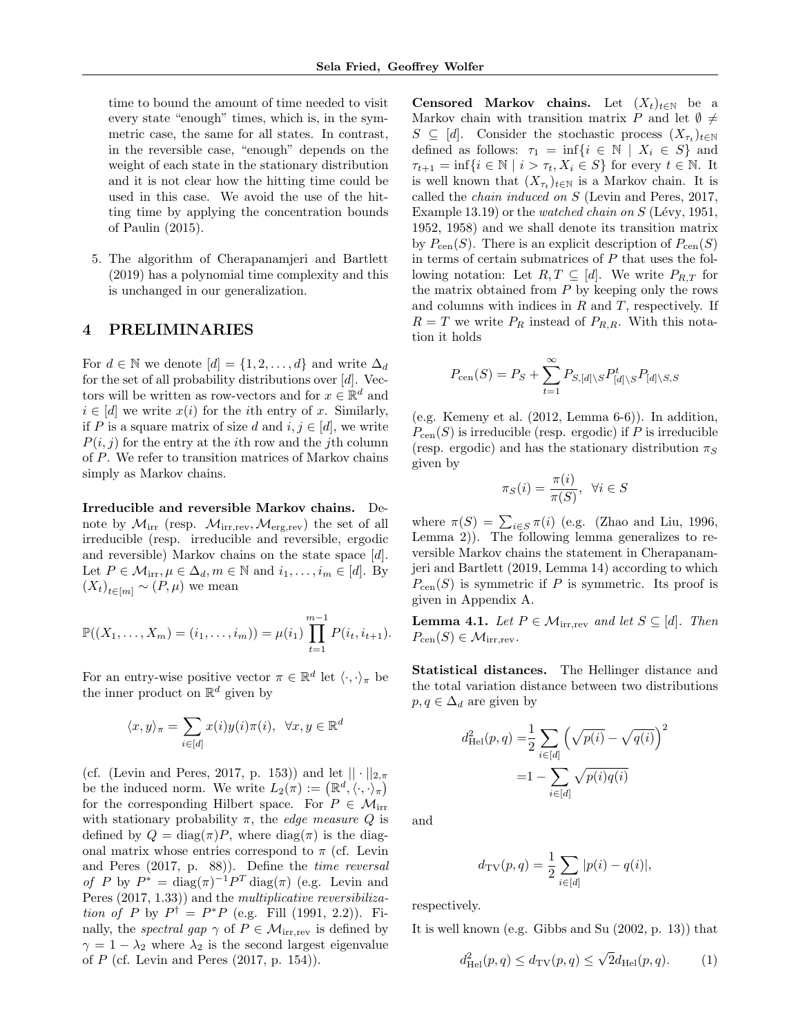time to bound the amount of time needed to visit every state "enough" times, which is, in the symmetric case, the same for all states. In contrast, in the reversible case, "enough" depends on the weight of each state in the stationary distribution and it is not clear how the hitting time could be used in this case. We avoid the use of the hitting time by applying the concentration bounds of Paulin (2015).

5. The algorithm of Cherapanamjeri and Bartlett (2019) has a polynomial time complexity and this is unchanged in our generalization.

#### 4 PRELIMINARIES

For  $d \in \mathbb{N}$  we denote  $[d] = \{1, 2, \ldots, d\}$  and write  $\Delta_d$ for the set of all probability distributions over  $[d]$ . Vectors will be written as row-vectors and for  $x \in \mathbb{R}^d$  and  $i \in [d]$  we write  $x(i)$  for the *i*th entry of x. Similarly, if P is a square matrix of size d and  $i, j \in [d]$ , we write  $P(i, j)$  for the entry at the *i*th row and the *j*th column of P. We refer to transition matrices of Markov chains simply as Markov chains.

Irreducible and reversible Markov chains. Denote by  $\mathcal{M}_{irr}$  (resp.  $\mathcal{M}_{irr,rev}, \mathcal{M}_{erg,rev}$ ) the set of all irreducible (resp. irreducible and reversible, ergodic and reversible) Markov chains on the state space [d]. Let  $P \in \mathcal{M}_{irr}, \mu \in \Delta_d, m \in \mathbb{N}$  and  $i_1, \ldots, i_m \in [d]$ . By  $(X_t)_{t \in [m]} \sim (P, \mu)$  we mean

$$
\mathbb{P}((X_1,\ldots,X_m)=(i_1,\ldots,i_m))=\mu(i_1)\prod_{t=1}^{m-1}P(i_t,i_{t+1}).
$$

For an entry-wise positive vector  $\pi \in \mathbb{R}^d$  let  $\langle \cdot, \cdot \rangle_{\pi}$  be the inner product on  $\mathbb{R}^d$  given by

$$
\langle x, y \rangle_{\pi} = \sum_{i \in [d]} x(i) y(i) \pi(i), \ \forall x, y \in \mathbb{R}^d
$$

(cf. (Levin and Peres, 2017, p. 153)) and let  $|| \cdot ||_{2,\pi}$ be the induced norm. We write  $L_2(\pi) := (\mathbb{R}^d, \langle \cdot, \cdot \rangle_{\pi})$ for the corresponding Hilbert space. For  $P \in \mathcal{M}_{irr}$ with stationary probability  $\pi$ , the *edge measure Q* is defined by  $Q = \text{diag}(\pi)P$ , where  $\text{diag}(\pi)$  is the diagonal matrix whose entries correspond to  $\pi$  (cf. Levin and Peres (2017, p. 88)). Define the time reversal of P by  $P^* = \text{diag}(\pi)^{-1} P^T \text{diag}(\pi)$  (e.g. Levin and Peres  $(2017, 1.33)$  and the *multiplicative reversibiliza*tion of P by  $P^{\dagger} = P^*P$  (e.g. Fill (1991, 2.2)). Finally, the *spectral gap*  $\gamma$  of  $P \in \mathcal{M}_{irr,rev}$  is defined by  $\gamma = 1 - \lambda_2$  where  $\lambda_2$  is the second largest eigenvalue of  $P$  (cf. Levin and Peres  $(2017, p. 154)$ ).

Censored Markov chains. Let  $(X_t)_{t\in\mathbb{N}}$  be a Markov chain with transition matrix P and let  $\emptyset \neq$  $S \subseteq [d]$ . Consider the stochastic process  $(X_{\tau_t})_{t \in \mathbb{N}}$ defined as follows:  $\tau_1 = \inf\{i \in \mathbb{N} \mid X_i \in S\}$  and  $\tau_{t+1} = \inf\{i \in \mathbb{N} \mid i > \tau_t, X_i \in S\}$  for every  $t \in \mathbb{N}$ . It is well known that  $(X_{\tau_t})_{t \in \mathbb{N}}$  is a Markov chain. It is called the chain induced on S (Levin and Peres, 2017, Example 13.19) or the *watched chain on S* (Lévy, 1951, 1952, 1958) and we shall denote its transition matrix by  $P_{\text{cen}}(S)$ . There is an explicit description of  $P_{\text{cen}}(S)$ in terms of certain submatrices of  $P$  that uses the following notation: Let  $R, T \subseteq [d]$ . We write  $P_{R,T}$  for the matrix obtained from  $P$  by keeping only the rows and columns with indices in  $R$  and  $T$ , respectively. If  $R = T$  we write  $P_R$  instead of  $P_{R,R}$ . With this notation it holds

$$
P_{\rm cen}(S) = P_S + \sum_{t=1}^{\infty} P_{S,[d] \setminus S} P_{[d] \setminus S}^t P_{[d] \setminus S, S}
$$

(e.g. Kemeny et al. (2012, Lemma 6-6)). In addition,  $P_{\text{cen}}(S)$  is irreducible (resp. ergodic) if P is irreducible (resp. ergodic) and has the stationary distribution  $\pi_S$ given by

$$
\pi_S(i) = \frac{\pi(i)}{\pi(S)}, \ \forall i \in S
$$

where  $\pi(S) = \sum_{i \in S} \pi(i)$  (e.g. (Zhao and Liu, 1996, Lemma 2)). The following lemma generalizes to reversible Markov chains the statement in Cherapanamjeri and Bartlett (2019, Lemma 14) according to which  $P_{\rm cen}(S)$  is symmetric if P is symmetric. Its proof is given in Appendix A.

**Lemma 4.1.** Let  $P \in \mathcal{M}_{irr,rev}$  and let  $S \subseteq [d]$ . Then  $P_{\rm cen}(S) \in \mathcal{M}_{irr,rev}.$ 

Statistical distances. The Hellinger distance and the total variation distance between two distributions  $p, q \in \Delta_d$  are given by

$$
d_{\text{Hel}}^{2}(p, q) = \frac{1}{2} \sum_{i \in [d]} \left(\sqrt{p(i)} - \sqrt{q(i)}\right)^{2}
$$

$$
= 1 - \sum_{i \in [d]} \sqrt{p(i)q(i)}
$$

and

$$
d_{\text{TV}}(p, q) = \frac{1}{2} \sum_{i \in [d]} |p(i) - q(i)|,
$$

respectively.

It is well known (e.g. Gibbs and Su (2002, p. 13)) that

$$
d_{\text{Hel}}^2(p,q) \le d_{\text{TV}}(p,q) \le \sqrt{2} d_{\text{Hel}}(p,q). \tag{1}
$$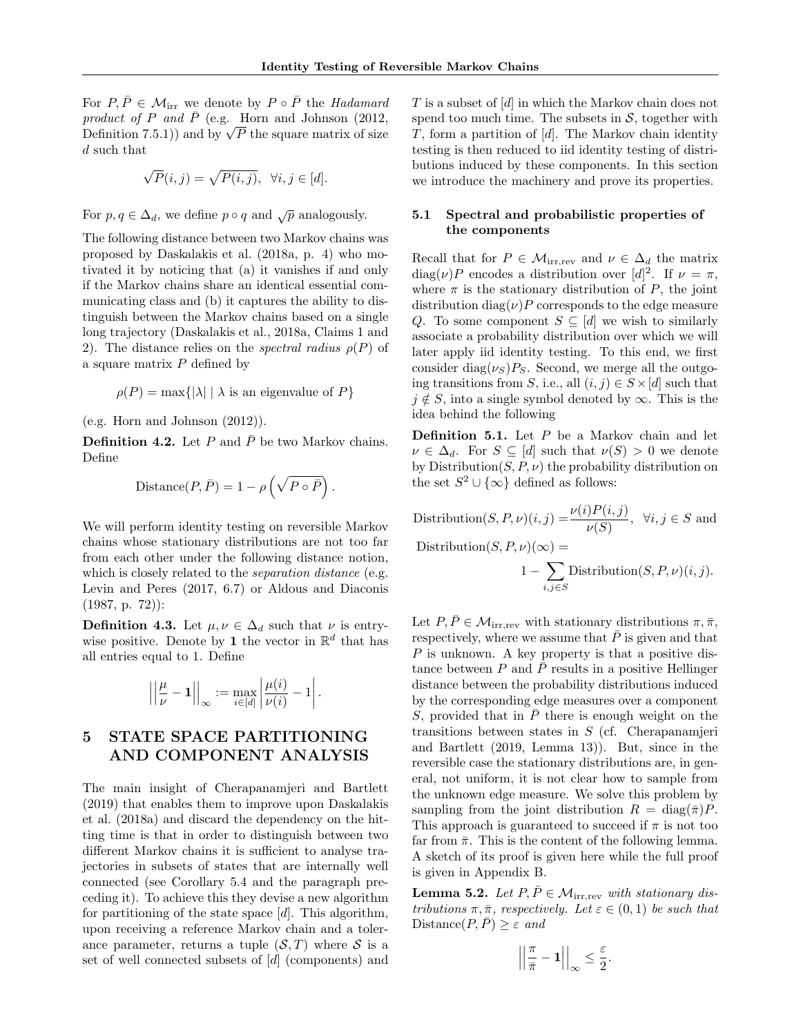For  $P, \overline{P} \in \mathcal{M}_{irr}$  we denote by  $P \circ \overline{P}$  the Hadamard product of P and  $\bar{P}$  (e.g. Horn and Johnson (2012, product of P and P (e.g. Horn and Johnson (2012,<br>Definition 7.5.1)) and by  $\sqrt{P}$  the square matrix of size d such that

$$
\sqrt{P}(i,j) = \sqrt{P(i,j)}, \ \forall i,j \in [d].
$$

For  $p, q \in \Delta_d$ , we define  $p \circ q$  and  $\sqrt{p}$  analogously.

The following distance between two Markov chains was proposed by Daskalakis et al. (2018a, p. 4) who motivated it by noticing that (a) it vanishes if and only if the Markov chains share an identical essential communicating class and (b) it captures the ability to distinguish between the Markov chains based on a single long trajectory (Daskalakis et al., 2018a, Claims 1 and 2). The distance relies on the *spectral radius*  $\rho(P)$  of a square matrix  $P$  defined by

$$
\rho(P) = \max\{|\lambda| \mid \lambda \text{ is an eigenvalue of } P\}
$$

(e.g. Horn and Johnson (2012)).

**Definition 4.2.** Let P and  $\overline{P}$  be two Markov chains. Define

Distance
$$
(P, \overline{P}) = 1 - \rho \left(\sqrt{P \circ \overline{P}}\right).
$$

We will perform identity testing on reversible Markov chains whose stationary distributions are not too far from each other under the following distance notion, which is closely related to the *separation distance* (e.g. Levin and Peres (2017, 6.7) or Aldous and Diaconis (1987, p. 72)):

**Definition 4.3.** Let  $\mu, \nu \in \Delta_d$  such that  $\nu$  is entrywise positive. Denote by 1 the vector in  $\mathbb{R}^d$  that has all entries equal to 1. Define

$$
\left|\left|\frac{\mu}{\nu}-1\right|\right|_{\infty} := \max_{i \in [d]} \left|\frac{\mu(i)}{\nu(i)}-1\right|.
$$

# 5 STATE SPACE PARTITIONING AND COMPONENT ANALYSIS

The main insight of Cherapanamjeri and Bartlett (2019) that enables them to improve upon Daskalakis et al. (2018a) and discard the dependency on the hitting time is that in order to distinguish between two different Markov chains it is sufficient to analyse trajectories in subsets of states that are internally well connected (see Corollary 5.4 and the paragraph preceding it). To achieve this they devise a new algorithm for partitioning of the state space  $[d]$ . This algorithm, upon receiving a reference Markov chain and a tolerance parameter, returns a tuple  $(S, T)$  where S is a set of well connected subsets of [d] (components) and T is a subset of [d] in which the Markov chain does not spend too much time. The subsets in  $S$ , together with  $T$ , form a partition of  $[d]$ . The Markov chain identity testing is then reduced to iid identity testing of distributions induced by these components. In this section we introduce the machinery and prove its properties.

#### 5.1 Spectral and probabilistic properties of the components

Recall that for  $P \in \mathcal{M}_{irr,rev}$  and  $\nu \in \Delta_d$  the matrix  $diag(\nu)P$  encodes a distribution over  $[d]^2$ . If  $\nu = \pi$ , where  $\pi$  is the stationary distribution of P, the joint distribution diag( $\nu$ )P corresponds to the edge measure Q. To some component  $S \subseteq [d]$  we wish to similarly associate a probability distribution over which we will later apply iid identity testing. To this end, we first consider diag( $\nu_S$ ) $P_S$ . Second, we merge all the outgoing transitions from S, i.e., all  $(i, j) \in S \times [d]$  such that  $j \notin S$ , into a single symbol denoted by  $\infty$ . This is the idea behind the following

**Definition 5.1.** Let  $P$  be a Markov chain and let  $\nu \in \Delta_d$ . For  $S \subseteq [d]$  such that  $\nu(S) > 0$  we denote by Distribution $(S, P, \nu)$  the probability distribution on the set  $S^2 \cup {\infty}$  defined as follows:

Distribution $(S, P, \nu)(i, j) = \frac{\nu(i)P(i, j)}{\nu(S)}$ ,  $\forall i, j \in S$  and Distribution $(S, P, \nu)(\infty) =$  $1-\sum$  $i,j∈S$ Distribution $(S, P, \nu)(i, j)$ .

Let  $P, \bar{P} \in \mathcal{M}_{irr,rev}$  with stationary distributions  $\pi, \bar{\pi}$ , respectively, where we assume that  $\overline{P}$  is given and that  $P$  is unknown. A key property is that a positive distance between P and  $\overline{P}$  results in a positive Hellinger distance between the probability distributions induced by the corresponding edge measures over a component S, provided that in  $\overline{P}$  there is enough weight on the transitions between states in S (cf. Cherapanamjeri and Bartlett (2019, Lemma 13)). But, since in the reversible case the stationary distributions are, in general, not uniform, it is not clear how to sample from the unknown edge measure. We solve this problem by sampling from the joint distribution  $R = \text{diag}(\bar{\pi})P$ . This approach is guaranteed to succeed if  $\pi$  is not too far from  $\bar{\pi}$ . This is the content of the following lemma. A sketch of its proof is given here while the full proof is given in Appendix B.

**Lemma 5.2.** Let  $P, \overline{P} \in \mathcal{M}_{irr,rev}$  with stationary distributions  $\pi, \bar{\pi}$ , respectively. Let  $\varepsilon \in (0, 1)$  be such that Distance $(P, \overline{P}) \geq \varepsilon$  and

$$
\left|\left|\frac{\pi}{\bar{\pi}}-\mathbf{1}\right|\right|_{\infty}\leq\frac{\varepsilon}{2}.
$$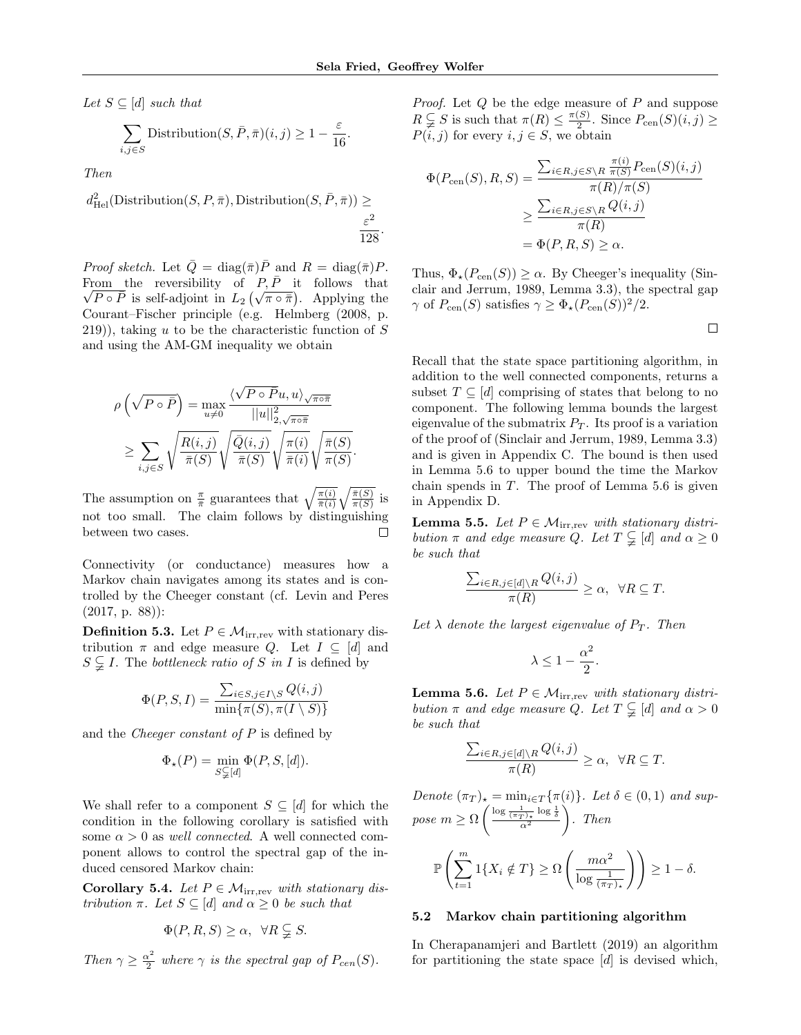.

Let  $S \subseteq [d]$  such that

$$
\sum_{i,j \in S} \text{Distribution}(S, \bar{P}, \bar{\pi})(i, j) \ge 1 - \frac{\varepsilon}{16}
$$

Then

 $d_{\text{Hel}}^2(\text{Distribution}(S, P, \bar{\pi}), \text{Distribution}(S, \bar{P}, \bar{\pi})) \geq$  $\varepsilon^2$  $\frac{6}{128}$ .

*Proof sketch.* Let  $\overline{Q} = \text{diag}(\overline{\pi})\overline{P}$  and  $R = \text{diag}(\overline{\pi})P$ . From the reversibility of  $P, \bar{P}$  it follows that  $\frac{\text{om}}{P \circ \overline{P}}$  is self-adjoint in  $L_2(\sqrt{\pi \circ \overline{\pi}})$ . Applying the Courant–Fischer principle (e.g. Helmberg (2008, p.  $(219)$ , taking u to be the characteristic function of S and using the AM-GM inequality we obtain

$$
\rho\left(\sqrt{P \circ \bar{P}}\right) = \max_{u \neq 0} \frac{\langle \sqrt{P \circ \bar{P}}u, u \rangle_{\sqrt{\pi \circ \bar{\pi}}}}{||u||_{2, \sqrt{\pi \circ \bar{\pi}}}^2}
$$

$$
\geq \sum_{i,j \in S} \sqrt{\frac{R(i,j)}{\bar{\pi}(S)}} \sqrt{\frac{\bar{Q}(i,j)}{\bar{\pi}(S)}} \sqrt{\frac{\pi(i)}{\bar{\pi}(i)}} \sqrt{\frac{\bar{\pi}(S)}{\pi(S)}}.
$$

The assumption on  $\frac{\pi}{\pi}$  guarantees that  $\sqrt{\frac{\pi(i)}{\pi(i)}}\sqrt{\frac{\pi(S)}{\pi(S)}}$  is not too small. The claim follows by distinguishing between two cases.  $\Box$ 

Connectivity (or conductance) measures how a Markov chain navigates among its states and is controlled by the Cheeger constant (cf. Levin and Peres (2017, p. 88)):

**Definition 5.3.** Let  $P \in \mathcal{M}_{irr,rev}$  with stationary distribution  $\pi$  and edge measure Q. Let  $I \subseteq [d]$  and  $S \subsetneq I$ . The *bottleneck ratio of* S in I is defined by

$$
\Phi(P, S, I) = \frac{\sum_{i \in S, j \in I \setminus S} Q(i, j)}{\min\{\pi(S), \pi(I \setminus S)\}}
$$

and the *Cheeger constant of*  $P$  is defined by

$$
\Phi_{\star}(P) = \min_{S \subsetneqq [d]} \Phi(P, S, [d]).
$$

We shall refer to a component  $S \subseteq [d]$  for which the condition in the following corollary is satisfied with some  $\alpha > 0$  as well connected. A well connected component allows to control the spectral gap of the induced censored Markov chain:

Corollary 5.4. Let  $P \in \mathcal{M}_{irr,rev}$  with stationary distribution π. Let  $S \subseteq [d]$  and  $\alpha \geq 0$  be such that

$$
\Phi(P, R, S) \ge \alpha, \ \ \forall R \subsetneqq S.
$$

Then 
$$
\gamma \geq \frac{\alpha^2}{2}
$$
 where  $\gamma$  is the spectral gap of  $P_{cen}(S)$ .

Proof. Let Q be the edge measure of P and suppose  $R\subsetneqq S$  is such that  $\pi(R)\leq \frac{\pi(S)}{2}$  $\frac{(S)}{2}$ . Since  $P_{\text{cen}}(S)(i, j) \geq$  $P(\tilde{i}, j)$  for every  $i, j \in S$ , we obtain

$$
\Phi(P_{\text{cen}}(S), R, S) = \frac{\sum_{i \in R, j \in S \setminus R} \frac{\pi(i)}{\pi(S)} P_{\text{cen}}(S)(i, j)}{\pi(R)/\pi(S)} \n\geq \frac{\sum_{i \in R, j \in S \setminus R} Q(i, j)}{\pi(R)} \n= \Phi(P, R, S) \geq \alpha.
$$

Thus,  $\Phi_{\star}(P_{\text{cen}}(S)) \ge \alpha$ . By Cheeger's inequality (Sinclair and Jerrum, 1989, Lemma 3.3), the spectral gap  $\gamma$  of  $P_{\text{cen}}(S)$  satisfies  $\gamma \geq \Phi_{\star}(P_{\text{cen}}(S))^{2}/2$ .

$$
\Box
$$

Recall that the state space partitioning algorithm, in addition to the well connected components, returns a subset  $T \subseteq [d]$  comprising of states that belong to no component. The following lemma bounds the largest eigenvalue of the submatrix  $P_T$ . Its proof is a variation of the proof of (Sinclair and Jerrum, 1989, Lemma 3.3) and is given in Appendix C. The bound is then used in Lemma 5.6 to upper bound the time the Markov chain spends in  $T$ . The proof of Lemma 5.6 is given in Appendix D.

**Lemma 5.5.** Let  $P \in \mathcal{M}_{irr,rev}$  with stationary distribution  $\pi$  and edge measure Q. Let  $T \subsetneq [d]$  and  $\alpha \geq 0$ be such that

$$
\frac{\sum_{i\in R, j\in[d]\setminus R} Q(i,j)}{\pi(R)} \ge \alpha, \ \ \forall R\subseteq T.
$$

Let  $\lambda$  denote the largest eigenvalue of  $P_T$ . Then

$$
\lambda \le 1 - \frac{\alpha^2}{2}.
$$

**Lemma 5.6.** Let  $P \in \mathcal{M}_{irr,rev}$  with stationary distribution  $\pi$  and edge measure Q. Let  $T \subsetneq [d]$  and  $\alpha > 0$ be such that

$$
\frac{\sum_{i\in R, j\in [d]\backslash R} Q(i,j)}{\pi(R)} \geq \alpha, \ \ \forall R\subseteq T.
$$

Denote  $(\pi_T)_* = \min_{i \in T} {\{\pi(i)\}}$ . Let  $\delta \in (0,1)$  and sup $pose\,\,m \ge \Omega\left(\frac{\log \frac{1}{(\pi_T)_{\star}}\log \frac{1}{\delta}}{\alpha^2}\right)$  $\bigg).$  Then

$$
\mathbb{P}\left(\sum_{t=1}^{m} 1\{X_i \notin T\} \ge \Omega\left(\frac{m\alpha^2}{\log \frac{1}{(\pi_T)_\star}}\right)\right) \ge 1 - \delta.
$$

#### 5.2 Markov chain partitioning algorithm

In Cherapanamjeri and Bartlett (2019) an algorithm for partitioning the state space  $[d]$  is devised which,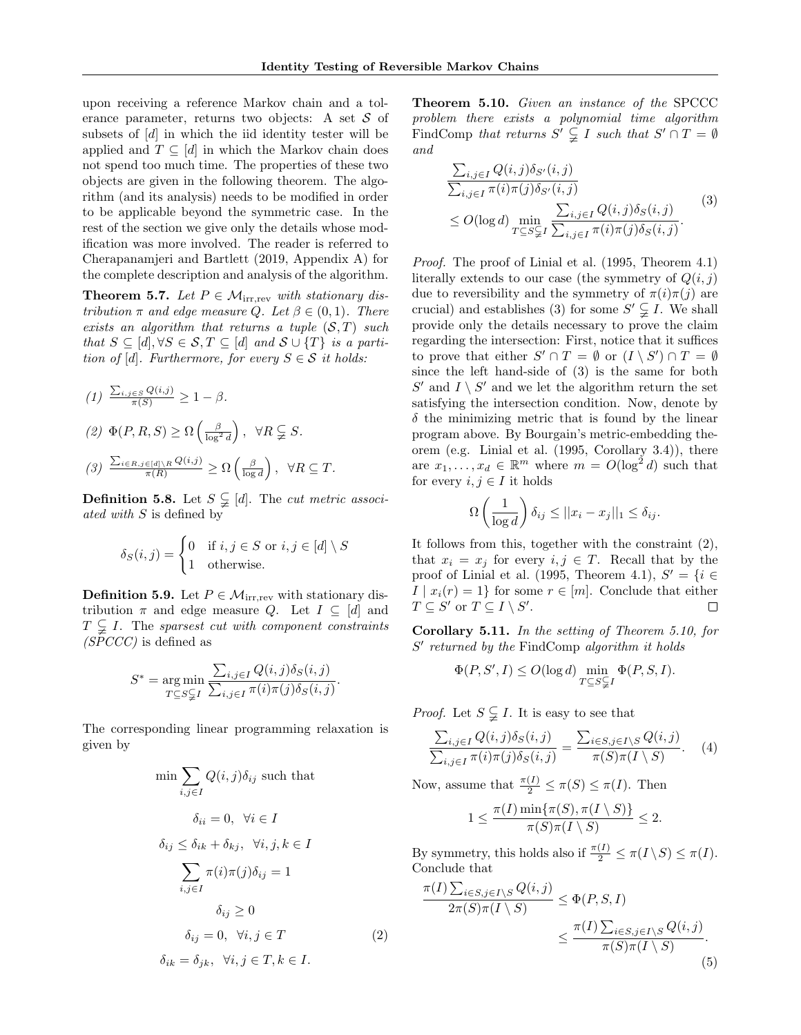upon receiving a reference Markov chain and a tolerance parameter, returns two objects: A set  $S$  of subsets of [d] in which the iid identity tester will be applied and  $T \subseteq [d]$  in which the Markov chain does not spend too much time. The properties of these two objects are given in the following theorem. The algorithm (and its analysis) needs to be modified in order to be applicable beyond the symmetric case. In the rest of the section we give only the details whose modification was more involved. The reader is referred to Cherapanamjeri and Bartlett (2019, Appendix A) for the complete description and analysis of the algorithm.

**Theorem 5.7.** Let  $P \in \mathcal{M}_{irr,rev}$  with stationary distribution  $\pi$  and edge measure Q. Let  $\beta \in (0,1)$ . There exists an algorithm that returns a tuple  $(S, T)$  such that  $S \subseteq [d], \forall S \in \mathcal{S}, T \subseteq [d]$  and  $\mathcal{S} \cup \{T\}$  is a partition of [d]. Furthermore, for every  $S \in \mathcal{S}$  it holds:

$$
(1) \frac{\sum_{i,j \in S} Q(i,j)}{\pi(S)} \ge 1 - \beta.
$$
  

$$
(2) \Phi(P, R, S) \ge \Omega\left(\frac{\beta}{\log^2 d}\right), \ \forall R \subsetneq S.
$$
  

$$
(3) \frac{\sum_{i \in R, j \in [d] \setminus R} Q(i,j)}{\pi(R)} \ge \Omega\left(\frac{\beta}{\log d}\right), \ \forall R \subseteq T.
$$

**Definition 5.8.** Let  $S \subsetneq [d]$ . The *cut metric associ*ated with S is defined by

$$
\delta_S(i,j) = \begin{cases} 0 & \text{if } i, j \in S \text{ or } i, j \in [d] \setminus S \\ 1 & \text{otherwise.} \end{cases}
$$

**Definition 5.9.** Let  $P \in \mathcal{M}_{irr,rev}$  with stationary distribution  $\pi$  and edge measure Q. Let  $I \subseteq [d]$  and  $T \subsetneq I$ . The sparsest cut with component constraints (SPCCC) is defined as

$$
S^* = \underset{T \subseteq S \subsetneq I}{\arg \min} \frac{\sum_{i,j \in I} Q(i,j) \delta_S(i,j)}{\sum_{i,j \in I} \pi(i) \pi(j) \delta_S(i,j)}.
$$

The corresponding linear programming relaxation is given by

$$
\min \sum_{i,j \in I} Q(i,j)\delta_{ij} \text{ such that}
$$
\n
$$
\delta_{ii} = 0, \quad \forall i \in I
$$
\n
$$
\delta_{ij} \leq \delta_{ik} + \delta_{kj}, \quad \forall i, j, k \in I
$$
\n
$$
\sum_{i,j \in I} \pi(i)\pi(j)\delta_{ij} = 1
$$
\n
$$
\delta_{ij} \geq 0
$$
\n
$$
\delta_{ij} = 0, \quad \forall i, j \in T
$$
\n
$$
\delta_{ik} = \delta_{jk}, \quad \forall i, j \in T, k \in I.
$$
\n(2)

Theorem 5.10. Given an instance of the SPCCC problem there exists a polynomial time algorithm FindComp that returns  $S' \subsetneq I$  such that  $S' \cap T = \emptyset$ and

$$
\frac{\sum_{i,j\in I} Q(i,j)\delta_{S'}(i,j)}{\sum_{i,j\in I} \pi(i)\pi(j)\delta_{S'}(i,j)} \leq O(\log d) \min_{T \subseteq S \subsetneq I} \frac{\sum_{i,j\in I} Q(i,j)\delta_S(i,j)}{\sum_{i,j\in I} \pi(i)\pi(j)\delta_S(i,j)}.
$$
\n(3)

Proof. The proof of Linial et al. (1995, Theorem 4.1) literally extends to our case (the symmetry of  $Q(i, j)$ ) due to reversibility and the symmetry of  $\pi(i)\pi(j)$  are crucial) and establishes (3) for some  $S' \subsetneq I$ . We shall provide only the details necessary to prove the claim regarding the intersection: First, notice that it suffices to prove that either  $S' \cap T = \emptyset$  or  $(I \setminus S') \cap T = \emptyset$ since the left hand-side of (3) is the same for both  $S'$  and  $I \setminus S'$  and we let the algorithm return the set satisfying the intersection condition. Now, denote by  $\delta$  the minimizing metric that is found by the linear program above. By Bourgain's metric-embedding theorem (e.g. Linial et al. (1995, Corollary 3.4)), there are  $x_1, \ldots, x_d \in \mathbb{R}^m$  where  $m = O(\log^2 d)$  such that for every  $i, j \in I$  it holds

$$
\Omega\left(\frac{1}{\log d}\right)\delta_{ij} \leq ||x_i - x_j||_1 \leq \delta_{ij}.
$$

It follows from this, together with the constraint (2), that  $x_i = x_j$  for every  $i, j \in T$ . Recall that by the proof of Linial et al. (1995, Theorem 4.1),  $S' = \{i \in$  $I | x_i(r) = 1$  for some  $r \in [m]$ . Conclude that either  $T \subseteq S'$  or  $T \subseteq I \setminus S'.$  $\Box$ 

Corollary 5.11. In the setting of Theorem 5.10, for  $S'$  returned by the FindComp algorithm it holds

$$
\Phi(P, S', I) \le O(\log d) \min_{T \subseteq S \subsetneqq I} \Phi(P, S, I).
$$

*Proof.* Let  $S \subsetneq I$ . It is easy to see that

$$
\frac{\sum_{i,j\in I} Q(i,j)\delta_S(i,j)}{\sum_{i,j\in I} \pi(i)\pi(j)\delta_S(i,j)} = \frac{\sum_{i\in S, j\in I\setminus S} Q(i,j)}{\pi(S)\pi(I\setminus S)}.
$$
 (4)

Now, assume that  $\frac{\pi(I)}{2} \leq \pi(S) \leq \pi(I)$ . Then

$$
1 \leq \frac{\pi(I)\min\{\pi(S), \pi(I \setminus S)\}}{\pi(S)\pi(I \setminus S)} \leq 2.
$$

By symmetry, this holds also if  $\frac{\pi(I)}{2} \leq \pi(I \setminus S) \leq \pi(I)$ . Conclude that

$$
\frac{\pi(I) \sum_{i \in S, j \in I \setminus S} Q(i,j)}{2\pi(S)\pi(I \setminus S)} \leq \Phi(P, S, I)
$$
  

$$
\leq \frac{\pi(I) \sum_{i \in S, j \in I \setminus S} Q(i,j)}{\pi(S)\pi(I \setminus S)}.
$$
  
(5)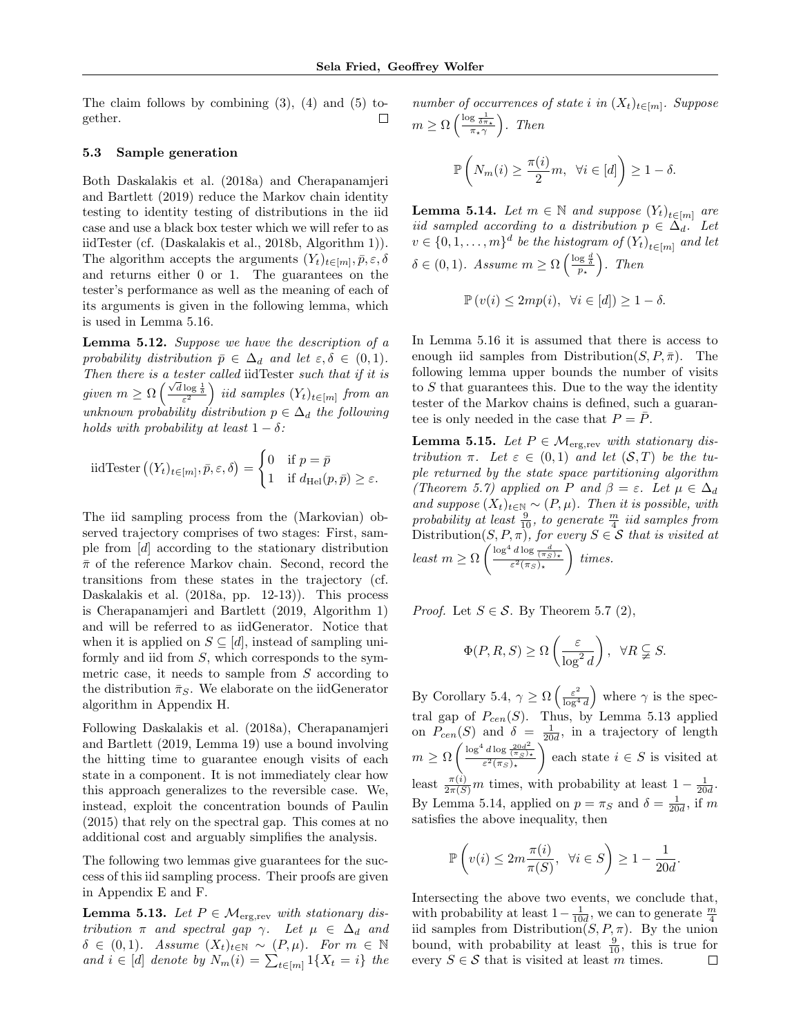The claim follows by combining  $(3)$ ,  $(4)$  and  $(5)$  together.  $\Box$ 

#### 5.3 Sample generation

Both Daskalakis et al. (2018a) and Cherapanamjeri and Bartlett (2019) reduce the Markov chain identity testing to identity testing of distributions in the iid case and use a black box tester which we will refer to as iidTester (cf. (Daskalakis et al., 2018b, Algorithm 1)). The algorithm accepts the arguments  $(Y_t)_{t \in [m]}, \bar{p}, \varepsilon, \delta$ and returns either 0 or 1. The guarantees on the tester's performance as well as the meaning of each of its arguments is given in the following lemma, which is used in Lemma 5.16.

Lemma 5.12. Suppose we have the description of a probability distribution  $\bar{p} \in \Delta_d$  and let  $\varepsilon, \delta \in (0, 1)$ . Then there is a tester called iidTester such that if it is From there is a lesser called not isseen such that  $y$  it is<br>given  $m \geq \Omega\left(\frac{\sqrt{d}\log\frac{1}{\delta}}{\varepsilon^2}\right)$  iid samples  $(Y_t)_{t \in [m]}$  from an unknown probability distribution  $p \in \Delta_d$  the following holds with probability at least  $1 - \delta$ :

$$
\text{iidTester}\left((Y_t)_{t\in[m]}, \bar{p}, \varepsilon, \delta\right) = \begin{cases} 0 & \text{if } p = \bar{p} \\ 1 & \text{if } d_{\text{Hel}}(p, \bar{p}) \ge \varepsilon. \end{cases}
$$

The iid sampling process from the (Markovian) observed trajectory comprises of two stages: First, sample from [d] according to the stationary distribution  $\bar{\pi}$  of the reference Markov chain. Second, record the transitions from these states in the trajectory (cf. Daskalakis et al. (2018a, pp. 12-13)). This process is Cherapanamjeri and Bartlett (2019, Algorithm 1) and will be referred to as iidGenerator. Notice that when it is applied on  $S \subseteq [d]$ , instead of sampling uniformly and iid from S, which corresponds to the symmetric case, it needs to sample from  $S$  according to the distribution  $\bar{\pi}_S$ . We elaborate on the iidGenerator algorithm in Appendix H.

Following Daskalakis et al. (2018a), Cherapanamjeri and Bartlett (2019, Lemma 19) use a bound involving the hitting time to guarantee enough visits of each state in a component. It is not immediately clear how this approach generalizes to the reversible case. We, instead, exploit the concentration bounds of Paulin (2015) that rely on the spectral gap. This comes at no additional cost and arguably simplifies the analysis.

The following two lemmas give guarantees for the success of this iid sampling process. Their proofs are given in Appendix E and F.

**Lemma 5.13.** Let  $P \in \mathcal{M}_{\text{erg,rev}}$  with stationary distribution  $\pi$  and spectral gap  $\gamma$ . Let  $\mu \in \Delta_d$  and  $\delta \in (0, 1)$ . Assume  $(X_t)_{t \in \mathbb{N}} \sim (P, \mu)$ . For  $m \in \mathbb{N}$ and  $i \in [d]$  denote by  $N_m(i) = \sum_{t \in [m]} 1\{X_t = i\}$  the

number of occurrences of state i in  $(X_t)_{t \in [m]}$ . Suppose  $m \geq \Omega\left(\frac{\log \frac{1}{\delta \pi_\star}}{\pi_\star \gamma}\right)$ . Then

$$
\mathbb{P}\left(N_m(i) \ge \frac{\pi(i)}{2}m, \ \forall i \in [d]\right) \ge 1 - \delta.
$$

**Lemma 5.14.** Let  $m \in \mathbb{N}$  and suppose  $(Y_t)_{t \in [m]}$  are iid sampled according to a distribution  $p \in \Delta_d$ . Let  $v \in \{0, 1, \ldots, m\}^d$  be the histogram of  $(Y_t)_{t \in [m]}$  and let  $\delta \in (0,1)$ . Assume  $m \geq \Omega\left(\frac{\log \frac{d}{\delta}}{p_{\star}}\right)$ . Then

$$
\mathbb{P}\left(v(i)\leq 2mp(i),\ \forall i\in[d]\right)\geq 1-\delta.
$$

In Lemma 5.16 it is assumed that there is access to enough iid samples from Distribution $(S, P, \overline{\pi})$ . The following lemma upper bounds the number of visits to  $S$  that guarantees this. Due to the way the identity tester of the Markov chains is defined, such a guarantee is only needed in the case that  $P = \overline{P}$ .

**Lemma 5.15.** Let  $P \in \mathcal{M}_{\text{erg,rev}}$  with stationary distribution  $\pi$ . Let  $\varepsilon \in (0,1)$  and let  $(S,T)$  be the tuple returned by the state space partitioning algorithm (Theorem 5.7) applied on P and  $\beta = \varepsilon$ . Let  $\mu \in \Delta_d$ and suppose  $(X_t)_{t\in\mathbb{N}} \sim (P, \mu)$ . Then it is possible, with probability at least  $\frac{9}{10}$ , to generate  $\frac{m}{4}$  iid samples from Distribution $(S, P, \pi)$ , for every  $S \in \mathcal{S}$  that is visited at least  $m \geq \Omega \left( \frac{\log^4 d \log \frac{d}{(\pi_S)_*}}{\varepsilon^2 (\pi_S)_*} \right)$  $\Big)$  times.

*Proof.* Let  $S \in \mathcal{S}$ . By Theorem 5.7 (2),

$$
\Phi(P, R, S) \ge \Omega\left(\frac{\varepsilon}{\log^2 d}\right), \ \ \forall R \subsetneqq S.
$$

By Corollary 5.4,  $\gamma \geq \Omega \left( \frac{\varepsilon^2}{\log^4} \right)$  $\frac{\varepsilon^2}{\log^4 d}$  where  $\gamma$  is the spectral gap of  $P_{cen}(S)$ . Thus, by Lemma 5.13 applied on  $P_{cen}(S)$  and  $\delta = \frac{1}{20d}$ , in a trajectory of length  $m \geq \Omega \left( \frac{\log^4 d \log \frac{20d^2}{(\pi_S)_\star}}{\varepsilon^2(\pi_S)_\star} \right.$ each state  $i \in S$  is visited at least  $\frac{\pi(i)}{2\pi(S)}m$  times, with probability at least  $1-\frac{1}{20d}$ . By Lemma 5.14, applied on  $p = \pi_S$  and  $\delta = \frac{1}{20d}$ , if m satisfies the above inequality, then

$$
\mathbb{P}\left(v(i) \le 2m \frac{\pi(i)}{\pi(S)}, \ \forall i \in S\right) \ge 1 - \frac{1}{20d}
$$

.

Intersecting the above two events, we conclude that, with probability at least  $1 - \frac{1}{10d}$ , we can to generate  $\frac{m}{4}$ iid samples from Distribution( $S, P, \pi$ ). By the union bound, with probability at least  $\frac{9}{10}$ , this is true for every  $S \in \mathcal{S}$  that is visited at least m times.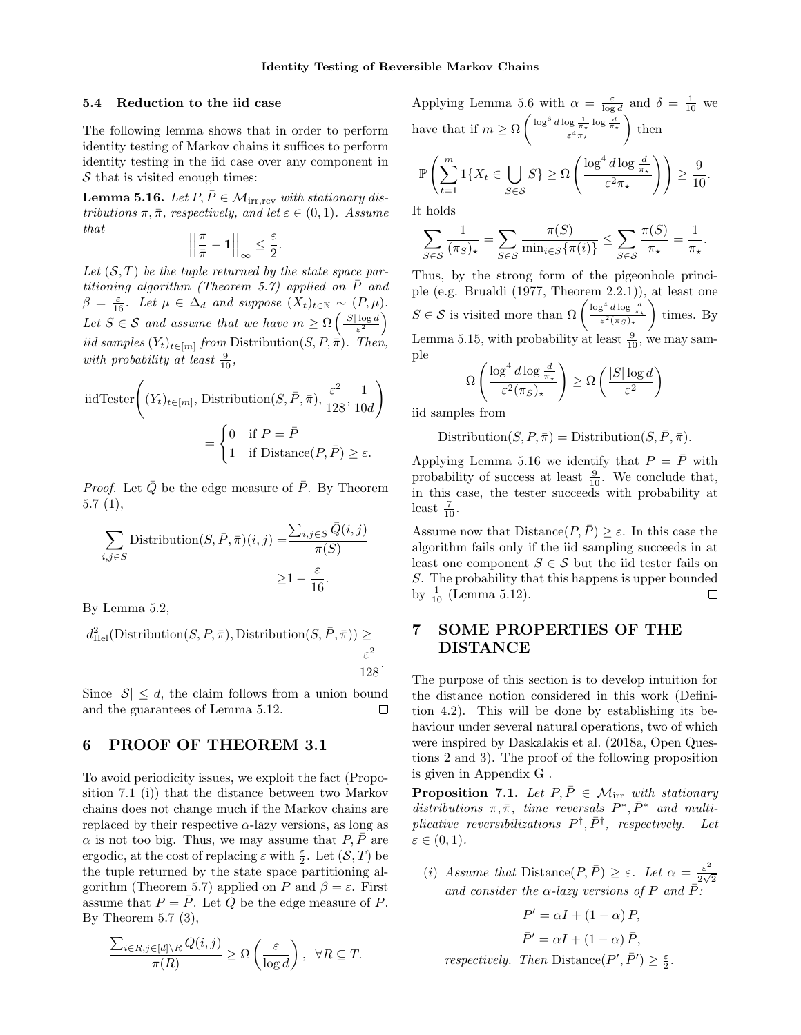#### 5.4 Reduction to the iid case

The following lemma shows that in order to perform identity testing of Markov chains it suffices to perform identity testing in the iid case over any component in  $S$  that is visited enough times:

**Lemma 5.16.** Let  $P, \overline{P} \in \mathcal{M}_{irr,rev}$  with stationary distributions  $\pi, \bar{\pi}$ , respectively, and let  $\varepsilon \in (0, 1)$ . Assume that

$$
\left|\left|\frac{\pi}{\bar{\pi}}-\mathbf{1}\right|\right|_{\infty}\leq\frac{\varepsilon}{2}.
$$

Let  $(S, T)$  be the tuple returned by the state space partitioning algorithm (Theorem 5.7) applied on  $\overline{P}$  and  $\beta = \frac{\varepsilon}{16}$ . Let  $\mu \in \Delta_d$  and suppose  $(X_t)_{t \in \mathbb{N}} \sim (P, \mu)$ . Let  $S \in \mathcal{S}$  and assume that we have  $m \geq \Omega \left( \frac{|S| \log d}{\epsilon^2} \right)$  $\frac{\log d}{\varepsilon^2}\bigg)$ iid samples  $(Y_t)_{t \in [m]}$  from Distribution $(S, P, \overline{\pi})$ . Then, with probability at least  $\frac{9}{10}$ ,

iidTester 
$$
\left( (Y_t)_{t \in [m]}, \text{Distribution}(S, \bar{P}, \bar{\pi}), \frac{\varepsilon^2}{128}, \frac{1}{10d} \right)
$$

$$
= \begin{cases} 0 & \text{if } P = \bar{P} \\ 1 & \text{if Distance}(P, \bar{P}) ≥ ε. \end{cases}
$$

*Proof.* Let  $\overline{Q}$  be the edge measure of  $\overline{P}$ . By Theorem 5.7 (1),

$$
\sum_{i,j \in S} \text{Distribution}(S, \bar{P}, \bar{\pi})(i, j) = \frac{\sum_{i,j \in S} \bar{Q}(i, j)}{\pi(S)} \ge 1 - \frac{\varepsilon}{16}.
$$

By Lemma 5.2,

$$
d_{\rm Hel}^2({\rm Distribution}(S, P, \bar{\pi}), {\rm Distribution}(S, \bar{P}, \bar{\pi})) \geq \frac{\varepsilon^2}{128}
$$

Since  $|\mathcal{S}| \leq d$ , the claim follows from a union bound and the guarantees of Lemma 5.12.  $\Box$ 

### 6 PROOF OF THEOREM 3.1

To avoid periodicity issues, we exploit the fact (Proposition 7.1 (i)) that the distance between two Markov chains does not change much if the Markov chains are replaced by their respective  $\alpha$ -lazy versions, as long as  $\alpha$  is not too big. Thus, we may assume that  $P, \overline{P}$  are ergodic, at the cost of replacing  $\varepsilon$  with  $\frac{\varepsilon}{2}$ . Let  $(\mathcal{S}, T)$  be the tuple returned by the state space partitioning algorithm (Theorem 5.7) applied on P and  $\beta = \varepsilon$ . First assume that  $P = \overline{P}$ . Let Q be the edge measure of P. By Theorem  $5.7$   $(3)$ ,

$$
\frac{\sum_{i\in R, j\in[d]\setminus R} Q(i,j)}{\pi(R)} \ge \Omega\left(\frac{\varepsilon}{\log d}\right), \ \ \forall R\subseteq T.
$$

Applying Lemma 5.6 with  $\alpha = \frac{\varepsilon}{\log d}$  and  $\delta = \frac{1}{10}$  we have that if  $m \geq \Omega \left( \frac{\log^6 d \log \frac{1}{\pi_\star} \log \frac{d}{\pi_\star}}{\varepsilon^4 \pi_\star} \right)$  $\Big)$  then

$$
\mathbb{P}\left(\sum_{t=1}^m 1\{X_t \in \bigcup_{S \in \mathcal{S}} S\} \ge \Omega\left(\frac{\log^4 d \log \frac{d}{\pi_*}}{\varepsilon^2 \pi_*}\right)\right) \ge \frac{9}{10}.
$$

It holds

$$
\sum_{S \in \mathcal{S}} \frac{1}{(\pi_S)_\star} = \sum_{S \in \mathcal{S}} \frac{\pi(S)}{\min_{i \in S} \{\pi(i)\}} \le \sum_{S \in \mathcal{S}} \frac{\pi(S)}{\pi_\star} = \frac{1}{\pi_\star}.
$$

Thus, by the strong form of the pigeonhole principle (e.g. Brualdi (1977, Theorem 2.2.1)), at least one  $S \in \mathcal{S}$  is visited more than  $\Omega \left( \frac{\log^4 d \log \frac{d}{\pi_\star}}{\varepsilon^2(\pi_S)_\star} \right)$  $\Big)$  times. By Lemma 5.15, with probability at least  $\frac{9}{10}$ , we may sample

$$
\Omega\left(\frac{\log^4 d \log \frac{d}{\pi_\star}}{\varepsilon^2(\pi_S)_\star}\right) \ge \Omega\left(\frac{|S| \log d}{\varepsilon^2}\right)
$$

iid samples from

.

Distribution $(S, P, \overline{\pi}) =$ Distribution $(S, \overline{P}, \overline{\pi})$ .

Applying Lemma 5.16 we identify that  $P = \overline{P}$  with probability of success at least  $\frac{9}{10}$ . We conclude that, in this case, the tester succeeds with probability at least  $\frac{7}{10}$ .

Assume now that  $Distance(P, \overline{P}) \geq \varepsilon$ . In this case the algorithm fails only if the iid sampling succeeds in at least one component  $S \in \mathcal{S}$  but the iid tester fails on S. The probability that this happens is upper bounded by  $\frac{1}{10}$  (Lemma 5.12).  $\Box$ 

## 7 SOME PROPERTIES OF THE DISTANCE

The purpose of this section is to develop intuition for the distance notion considered in this work (Definition 4.2). This will be done by establishing its behaviour under several natural operations, two of which were inspired by Daskalakis et al. (2018a, Open Questions 2 and 3). The proof of the following proposition is given in Appendix G .

**Proposition 7.1.** Let  $P, \overline{P} \in \mathcal{M}_{irr}$  with stationary distributions  $\pi, \bar{\pi}$ , time reversals  $P^*, \bar{P}^*$  and multiplicative reversibilizations  $P^{\dagger}, \bar{P}^{\dagger}$ , respectively. Let  $\varepsilon \in (0,1)$ .

(i) Assume that Distance  $(P, \bar{P}) \geq \varepsilon$ . Let  $\alpha = \frac{\varepsilon^2}{2\sqrt{2}}$  $\frac{\varepsilon}{2\sqrt{2}}$ and consider the  $\alpha$ -lazy versions of P and  $\bar{P}$ :

$$
P' = \alpha I + (1 - \alpha) P,
$$
  
\n
$$
\bar{P}' = \alpha I + (1 - \alpha) \bar{P},
$$
  
\nrespectively. Then  $Distance(P', \bar{P}') \ge \frac{\varepsilon}{2}.$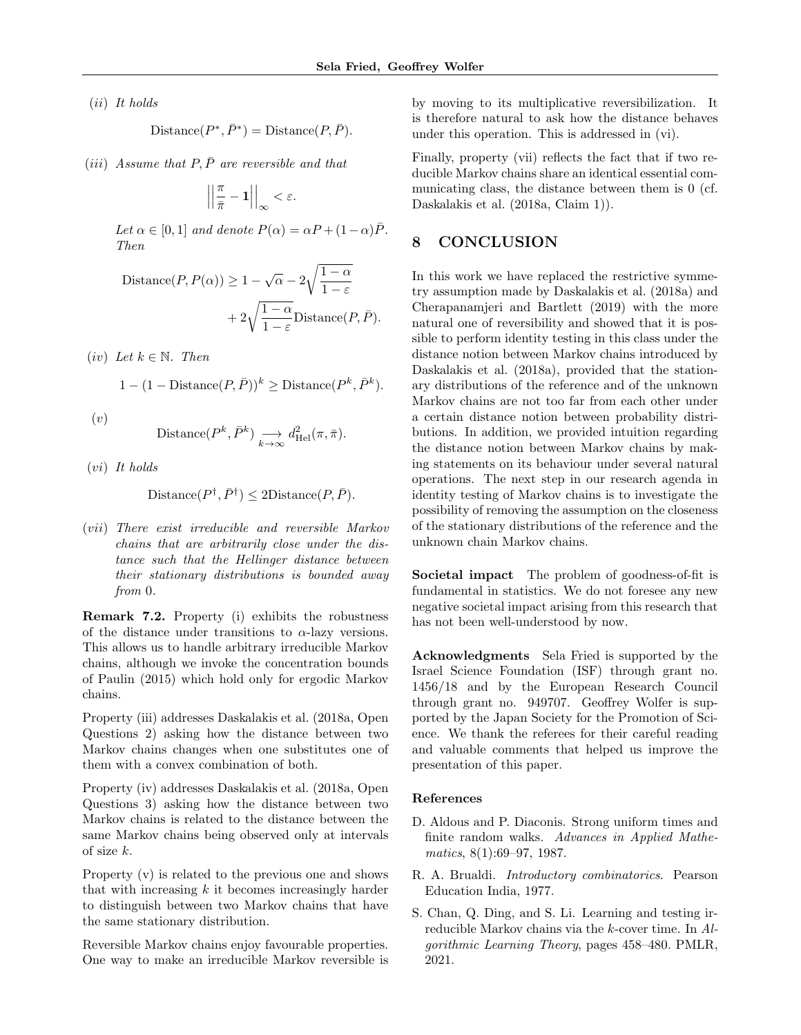(ii) It holds

$$
Distance(P^*, \bar{P}^*) = Distance(P, \bar{P}).
$$

(iii) Assume that  $P, \bar{P}$  are reversible and that

$$
\left|\left|\frac{\pi}{\bar{\pi}}-1\right|\right|_{\infty}<\varepsilon.
$$

Let  $\alpha \in [0,1]$  and denote  $P(\alpha) = \alpha P + (1-\alpha)\overline{P}$ . Then

Distance
$$
(P, P(\alpha)) \ge 1 - \sqrt{\alpha} - 2\sqrt{\frac{1-\alpha}{1-\varepsilon}}
$$
  
+  $2\sqrt{\frac{1-\alpha}{1-\varepsilon}}$ Distance $(P, \overline{P})$ .

(iv) Let  $k \in \mathbb{N}$ . Then

$$
1 - (1 - \text{Distance}(P, \bar{P}))^k \geq \text{Distance}(P^k, \bar{P}^k).
$$

 $(v)$ 

Distance
$$
(P^k, \bar{P}^k)
$$
  $\longrightarrow_{k \to \infty} d_{\text{Hel}}^2(\pi, \bar{\pi}).$ 

(vi) It holds

$$
Distance(P^{\dagger}, \bar{P}^{\dagger}) \leq 2Distance(P, \bar{P}).
$$

(vii) There exist irreducible and reversible Markov chains that are arbitrarily close under the distance such that the Hellinger distance between their stationary distributions is bounded away from 0.

Remark 7.2. Property (i) exhibits the robustness of the distance under transitions to  $\alpha$ -lazy versions. This allows us to handle arbitrary irreducible Markov chains, although we invoke the concentration bounds of Paulin (2015) which hold only for ergodic Markov chains.

Property (iii) addresses Daskalakis et al. (2018a, Open Questions 2) asking how the distance between two Markov chains changes when one substitutes one of them with a convex combination of both.

Property (iv) addresses Daskalakis et al. (2018a, Open Questions 3) asking how the distance between two Markov chains is related to the distance between the same Markov chains being observed only at intervals of size k.

Property (v) is related to the previous one and shows that with increasing  $k$  it becomes increasingly harder to distinguish between two Markov chains that have the same stationary distribution.

Reversible Markov chains enjoy favourable properties. One way to make an irreducible Markov reversible is by moving to its multiplicative reversibilization. It is therefore natural to ask how the distance behaves under this operation. This is addressed in (vi).

Finally, property (vii) reflects the fact that if two reducible Markov chains share an identical essential communicating class, the distance between them is 0 (cf. Daskalakis et al. (2018a, Claim 1)).

## 8 CONCLUSION

In this work we have replaced the restrictive symmetry assumption made by Daskalakis et al. (2018a) and Cherapanamjeri and Bartlett (2019) with the more natural one of reversibility and showed that it is possible to perform identity testing in this class under the distance notion between Markov chains introduced by Daskalakis et al. (2018a), provided that the stationary distributions of the reference and of the unknown Markov chains are not too far from each other under a certain distance notion between probability distributions. In addition, we provided intuition regarding the distance notion between Markov chains by making statements on its behaviour under several natural operations. The next step in our research agenda in identity testing of Markov chains is to investigate the possibility of removing the assumption on the closeness of the stationary distributions of the reference and the unknown chain Markov chains.

Societal impact The problem of goodness-of-fit is fundamental in statistics. We do not foresee any new negative societal impact arising from this research that has not been well-understood by now.

Acknowledgments Sela Fried is supported by the Israel Science Foundation (ISF) through grant no. 1456/18 and by the European Research Council through grant no. 949707. Geoffrey Wolfer is supported by the Japan Society for the Promotion of Science. We thank the referees for their careful reading and valuable comments that helped us improve the presentation of this paper.

#### References

- D. Aldous and P. Diaconis. Strong uniform times and finite random walks. Advances in Applied Mathematics, 8(1):69–97, 1987.
- R. A. Brualdi. Introductory combinatorics. Pearson Education India, 1977.
- S. Chan, Q. Ding, and S. Li. Learning and testing irreducible Markov chains via the k-cover time. In Algorithmic Learning Theory, pages 458–480. PMLR, 2021.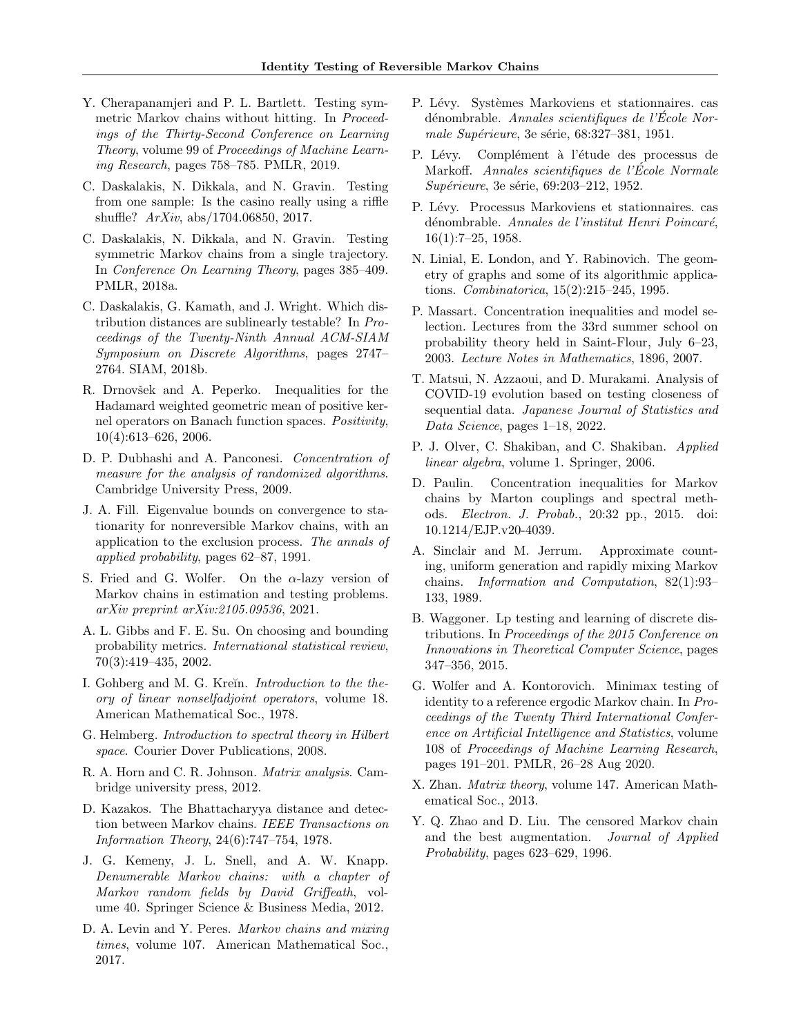- Y. Cherapanamjeri and P. L. Bartlett. Testing symmetric Markov chains without hitting. In *Proceed*ings of the Thirty-Second Conference on Learning Theory, volume 99 of Proceedings of Machine Learning Research, pages 758–785. PMLR, 2019.
- C. Daskalakis, N. Dikkala, and N. Gravin. Testing from one sample: Is the casino really using a riffle shuffle? ArXiv, abs/1704.06850, 2017.
- C. Daskalakis, N. Dikkala, and N. Gravin. Testing symmetric Markov chains from a single trajectory. In Conference On Learning Theory, pages 385–409. PMLR, 2018a.
- C. Daskalakis, G. Kamath, and J. Wright. Which distribution distances are sublinearly testable? In Proceedings of the Twenty-Ninth Annual ACM-SIAM Symposium on Discrete Algorithms, pages 2747– 2764. SIAM, 2018b.
- R. Drnovšek and A. Peperko. Inequalities for the Hadamard weighted geometric mean of positive kernel operators on Banach function spaces. Positivity, 10(4):613–626, 2006.
- D. P. Dubhashi and A. Panconesi. Concentration of measure for the analysis of randomized algorithms. Cambridge University Press, 2009.
- J. A. Fill. Eigenvalue bounds on convergence to stationarity for nonreversible Markov chains, with an application to the exclusion process. The annals of applied probability, pages 62–87, 1991.
- S. Fried and G. Wolfer. On the  $\alpha$ -lazy version of Markov chains in estimation and testing problems. arXiv preprint arXiv:2105.09536, 2021.
- A. L. Gibbs and F. E. Su. On choosing and bounding probability metrics. International statistical review, 70(3):419–435, 2002.
- I. Gohberg and M. G. Kreïn. *Introduction to the the*ory of linear nonselfadjoint operators, volume 18. American Mathematical Soc., 1978.
- G. Helmberg. Introduction to spectral theory in Hilbert space. Courier Dover Publications, 2008.
- R. A. Horn and C. R. Johnson. Matrix analysis. Cambridge university press, 2012.
- D. Kazakos. The Bhattacharyya distance and detection between Markov chains. IEEE Transactions on Information Theory, 24(6):747–754, 1978.
- J. G. Kemeny, J. L. Snell, and A. W. Knapp. Denumerable Markov chains: with a chapter of Markov random fields by David Griffeath, volume 40. Springer Science & Business Media, 2012.
- D. A. Levin and Y. Peres. Markov chains and mixing times, volume 107. American Mathematical Soc., 2017.
- P. Lévy. Systèmes Markoviens et stationnaires. cas dénombrable. Annales scientifiques de l'École Normale Supérieure, 3e série,  $68:327-381$ , 1951.
- P. Lévy. Complément à l'étude des processus de Markoff. Annales scientifiques de l'Ecole Normale ´ Supérieure, 3e série, 69:203-212, 1952.
- P. Lévy. Processus Markoviens et stationnaires. cas dénombrable. Annales de l'institut Henri Poincaré, 16(1):7–25, 1958.
- N. Linial, E. London, and Y. Rabinovich. The geometry of graphs and some of its algorithmic applications. Combinatorica, 15(2):215–245, 1995.
- P. Massart. Concentration inequalities and model selection. Lectures from the 33rd summer school on probability theory held in Saint-Flour, July 6–23, 2003. Lecture Notes in Mathematics, 1896, 2007.
- T. Matsui, N. Azzaoui, and D. Murakami. Analysis of COVID-19 evolution based on testing closeness of sequential data. Japanese Journal of Statistics and Data Science, pages 1–18, 2022.
- P. J. Olver, C. Shakiban, and C. Shakiban. Applied linear algebra, volume 1. Springer, 2006.
- D. Paulin. Concentration inequalities for Markov chains by Marton couplings and spectral methods. Electron. J. Probab., 20:32 pp., 2015. doi: 10.1214/EJP.v20-4039.
- A. Sinclair and M. Jerrum. Approximate counting, uniform generation and rapidly mixing Markov chains. Information and Computation, 82(1):93– 133, 1989.
- B. Waggoner. Lp testing and learning of discrete distributions. In Proceedings of the 2015 Conference on Innovations in Theoretical Computer Science, pages 347–356, 2015.
- G. Wolfer and A. Kontorovich. Minimax testing of identity to a reference ergodic Markov chain. In Proceedings of the Twenty Third International Conference on Artificial Intelligence and Statistics, volume 108 of Proceedings of Machine Learning Research, pages 191–201. PMLR, 26–28 Aug 2020.
- X. Zhan. Matrix theory, volume 147. American Mathematical Soc., 2013.
- Y. Q. Zhao and D. Liu. The censored Markov chain and the best augmentation. Journal of Applied Probability, pages 623–629, 1996.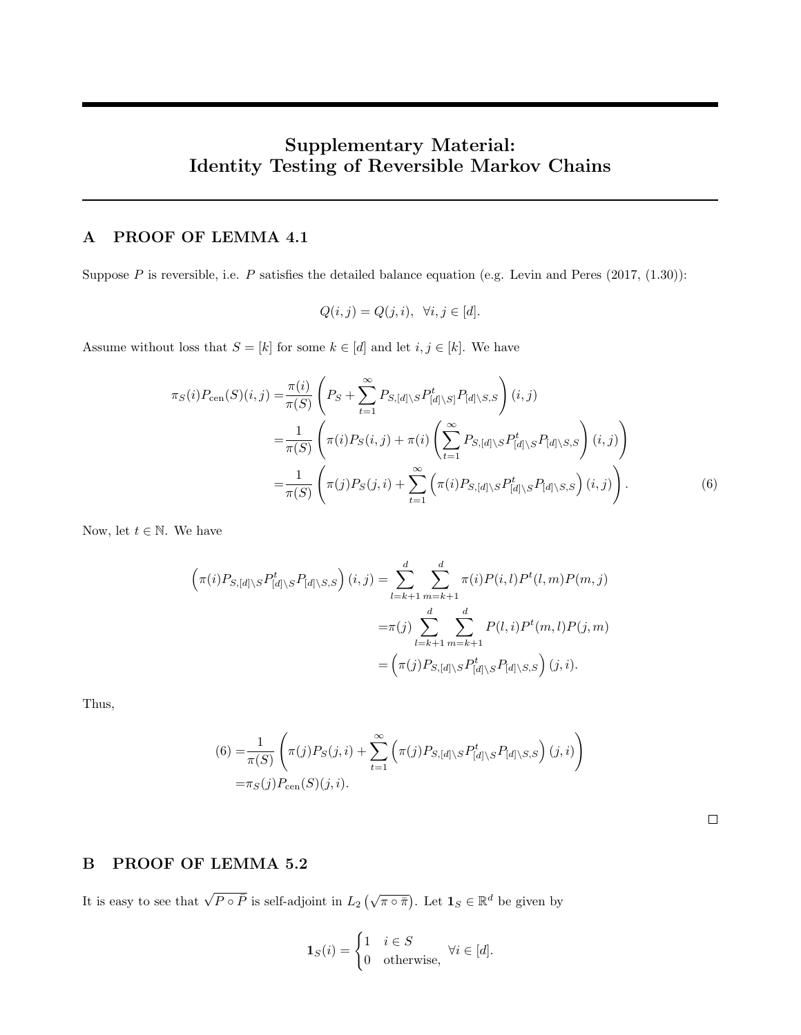# Supplementary Material: Identity Testing of Reversible Markov Chains

# A PROOF OF LEMMA 4.1

Suppose  $P$  is reversible, i.e.  $P$  satisfies the detailed balance equation (e.g. Levin and Peres (2017, (1.30)):

$$
Q(i,j) = Q(j,i), \ \forall i, j \in [d].
$$

Assume without loss that  $S = [k]$  for some  $k \in [d]$  and let  $i, j \in [k]$ . We have

$$
\pi_{S}(i)P_{\text{cen}}(S)(i,j) = \frac{\pi(i)}{\pi(S)} \left(P_{S} + \sum_{t=1}^{\infty} P_{S,[d] \setminus S} P_{[d] \setminus S]}^{t} P_{[d] \setminus S,S}\right)(i,j)
$$

$$
= \frac{1}{\pi(S)} \left(\pi(i)P_{S}(i,j) + \pi(i) \left(\sum_{t=1}^{\infty} P_{S,[d] \setminus S} P_{[d] \setminus S}^{t} P_{[d] \setminus S,S}\right)(i,j)\right)
$$

$$
= \frac{1}{\pi(S)} \left(\pi(j)P_{S}(j,i) + \sum_{t=1}^{\infty} \left(\pi(i)P_{S,[d] \setminus S} P_{[d] \setminus S}^{t} P_{[d] \setminus S,S}\right)(i,j)\right).
$$
(6)

Now, let  $t \in \mathbb{N}$ . We have

$$
\left(\pi(i)P_{S,[d]\backslash S}P^t_{[d]\backslash S}P_{[d]\backslash S,S}\right)(i,j) = \sum_{l=k+1}^d \sum_{m=k+1}^d \pi(i)P(i,l)P^t(l,m)P(m,j)
$$

$$
= \pi(j)\sum_{l=k+1}^d \sum_{m=k+1}^d P(l,i)P^t(m,l)P(j,m)
$$

$$
= \left(\pi(j)P_{S,[d]\backslash S}P^t_{[d]\backslash S}P_{[d]\backslash S,S}\right)(j,i).
$$

Thus,

$$
(6) = \frac{1}{\pi(S)} \left( \pi(j) P_S(j, i) + \sum_{t=1}^{\infty} \left( \pi(j) P_{S, [d] \setminus S} P_{[d] \setminus S}^t P_{[d] \setminus S, S} \right) (j, i) \right)
$$
  
=  $\pi_S(j) P_{\text{cen}}(S)(j, i).$ 

# B PROOF OF LEMMA 5.2

It is easy to see that  $\sqrt{P \circ \bar{P}}$  is self-adjoint in  $L_2(\sqrt{\pi \circ \bar{\pi}})$ . Let  $\mathbf{1}_S \in \mathbb{R}^d$  be given by

$$
\mathbf{1}_S(i) = \begin{cases} 1 & i \in S \\ 0 & \text{otherwise,} \end{cases} \forall i \in [d].
$$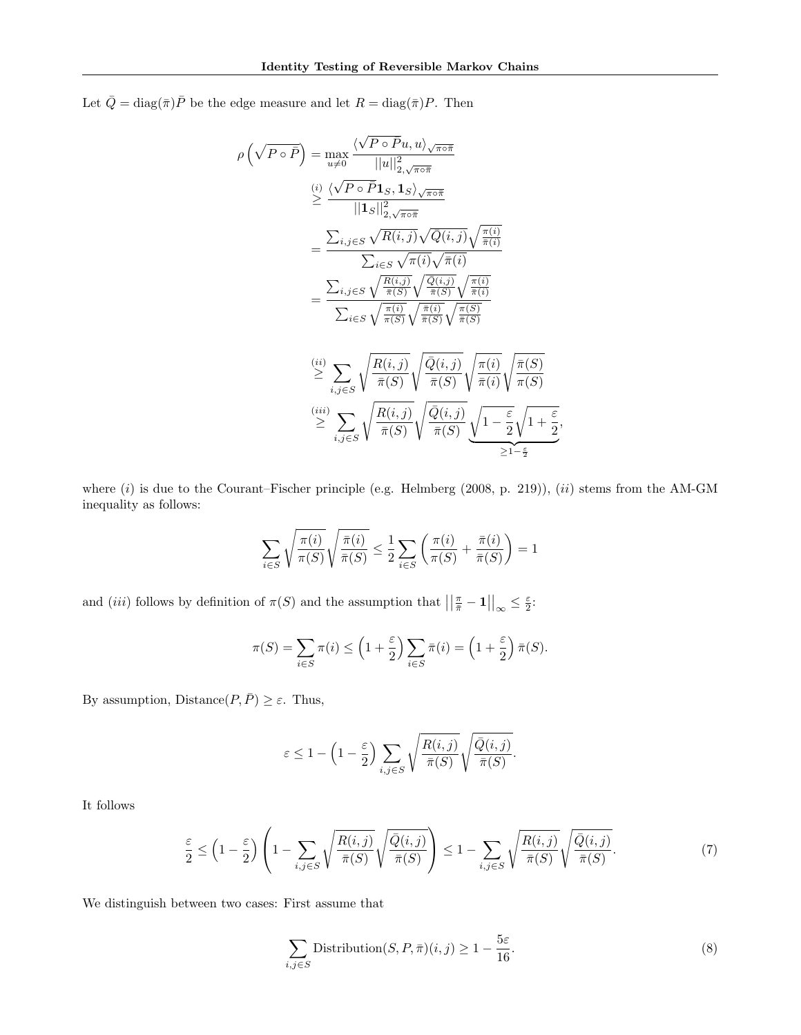Let  $\bar{Q} = \text{diag}(\bar{\pi})\bar{P}$  be the edge measure and let  $R = \text{diag}(\bar{\pi})P$ . Then

$$
\rho\left(\sqrt{P \circ \bar{P}}\right) = \max_{u \neq 0} \frac{\langle \sqrt{P \circ \bar{P}}u, u \rangle_{\sqrt{\pi \circ \bar{\pi}}}}{||u||_{2, \sqrt{\pi \circ \bar{\pi}}}}\n\n\stackrel{\left(i\right)}{\geq} \frac{\langle \sqrt{P \circ \bar{P}}1_S, 1_S \rangle_{\sqrt{\pi \circ \bar{\pi}}}}{||1_S||_{2, \sqrt{\pi \circ \bar{\pi}}}}\n\n=\frac{\sum_{i,j \in S} \sqrt{R(i,j)} \sqrt{Q(i,j)} \sqrt{\frac{\pi(i)}{\bar{\pi}(i)}}}{\sum_{i \in S} \sqrt{\pi(i)} \sqrt{\bar{\pi}(i)}}\n\n=\frac{\sum_{i,j \in S} \sqrt{\frac{R(i,j)}{\bar{\pi}(S)}} \sqrt{\frac{\bar{Q}(i,j)}{\bar{\pi}(S)}} \sqrt{\frac{\pi(i)}{\bar{\pi}(i)}}}{\sum_{i \in S} \sqrt{\frac{\pi(i)}{\pi(S)}} \sqrt{\frac{\pi(i)}{\bar{\pi}(S)}} \sqrt{\frac{\pi(S)}{\bar{\pi}(S)}}}\n\n\stackrel{\left(ii\right)}{\geq} \sum_{i,j \in S} \sqrt{\frac{R(i,j)}{\bar{\pi}(S)}} \sqrt{\frac{\bar{Q}(i,j)}{\bar{\pi}(S)}} \sqrt{\frac{\pi(i)}{\bar{\pi}(i)}} \sqrt{\frac{\pi(i)}{\pi(i)}} \sqrt{\frac{\pi(S)}{\pi(S)}}\n\n\stackrel{\left(iii\right)}{\geq} \sum_{i,j \in S} \sqrt{\frac{R(i,j)}{\bar{\pi}(S)}} \sqrt{\frac{\bar{Q}(i,j)}{\bar{\pi}(S)}} \sqrt{\frac{\pi(i)}{\bar{\pi}(S)}} \sqrt{1 - \frac{\varepsilon}{2}} \sqrt{1 + \frac{\varepsilon}{2}},
$$

where  $(i)$  is due to the Courant–Fischer principle (e.g. Helmberg (2008, p. 219)),  $(ii)$  stems from the AM-GM inequality as follows:

$$
\sum_{i \in S} \sqrt{\frac{\pi(i)}{\pi(S)}} \sqrt{\frac{\bar{\pi}(i)}{\bar{\pi}(S)}} \le \frac{1}{2} \sum_{i \in S} \left( \frac{\pi(i)}{\pi(S)} + \frac{\bar{\pi}(i)}{\bar{\pi}(S)} \right) = 1
$$

and (*iii*) follows by definition of  $\pi(S)$  and the assumption that  $\left|\left|\frac{\pi}{\overline{n}} - \mathbf{1}\right|\right|_{\infty} \leq \frac{\varepsilon}{2}$ :

$$
\pi(S) = \sum_{i \in S} \pi(i) \le \left(1 + \frac{\varepsilon}{2}\right) \sum_{i \in S} \bar{\pi}(i) = \left(1 + \frac{\varepsilon}{2}\right) \bar{\pi}(S).
$$

By assumption,  $\text{Distance}(P, \bar{P}) \geq \varepsilon$ . Thus,

$$
\varepsilon \le 1 - \left(1 - \frac{\varepsilon}{2}\right) \sum_{i,j \in S} \sqrt{\frac{R(i,j)}{\bar{\pi}(S)}} \sqrt{\frac{\bar{Q}(i,j)}{\bar{\pi}(S)}}.
$$

It follows

$$
\frac{\varepsilon}{2} \le \left(1 - \frac{\varepsilon}{2}\right) \left(1 - \sum_{i,j \in S} \sqrt{\frac{R(i,j)}{\bar{\pi}(S)}} \sqrt{\frac{\bar{Q}(i,j)}{\bar{\pi}(S)}}\right) \le 1 - \sum_{i,j \in S} \sqrt{\frac{R(i,j)}{\bar{\pi}(S)}} \sqrt{\frac{\bar{Q}(i,j)}{\bar{\pi}(S)}}. \tag{7}
$$

We distinguish between two cases: First assume that

$$
\sum_{i,j \in S} \text{Distribution}(S, P, \bar{\pi})(i, j) \ge 1 - \frac{5\varepsilon}{16}.\tag{8}
$$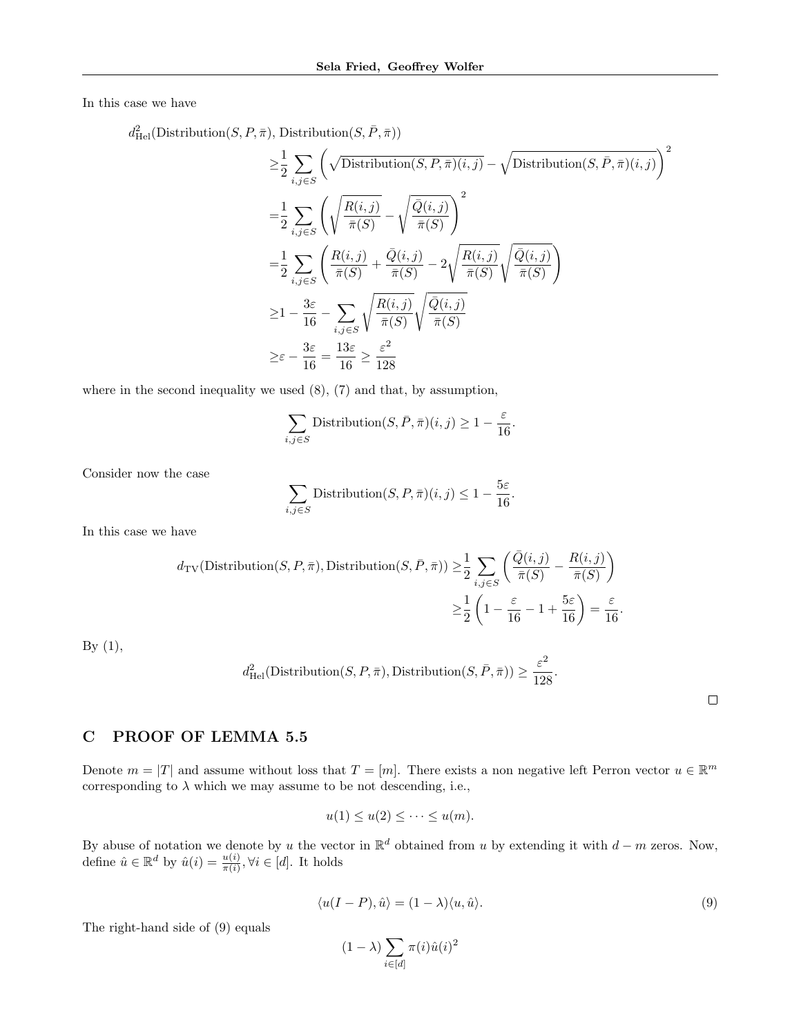In this case we have

 $d_{\text{Hel}}^2(\text{Distribution}(S, P, \bar{\pi}), \text{ Distribution}(S, \bar{P}, \bar{\pi}))$ 

$$
\geq \frac{1}{2} \sum_{i,j \in S} \left( \sqrt{\text{Distribution}(S, P, \bar{\pi})(i,j)} - \sqrt{\text{Distribution}(S, \bar{P}, \bar{\pi})(i,j)} \right)^2
$$
\n
$$
= \frac{1}{2} \sum_{i,j \in S} \left( \sqrt{\frac{R(i,j)}{\bar{\pi}(S)}} - \sqrt{\frac{\bar{Q}(i,j)}{\bar{\pi}(S)}} \right)^2
$$
\n
$$
= \frac{1}{2} \sum_{i,j \in S} \left( \frac{R(i,j)}{\bar{\pi}(S)} + \frac{\bar{Q}(i,j)}{\bar{\pi}(S)} - 2\sqrt{\frac{R(i,j)}{\bar{\pi}(S)}} \sqrt{\frac{\bar{Q}(i,j)}{\bar{\pi}(S)}} \right)
$$
\n
$$
\geq 1 - \frac{3\varepsilon}{16} - \sum_{i,j \in S} \sqrt{\frac{R(i,j)}{\bar{\pi}(S)}} \sqrt{\frac{\bar{Q}(i,j)}{\bar{\pi}(S)}}
$$
\n
$$
\geq \varepsilon - \frac{3\varepsilon}{16} = \frac{13\varepsilon}{16} \geq \frac{\varepsilon^2}{128}
$$

where in the second inequality we used (8), (7) and that, by assumption,

$$
\sum_{i,j \in S} \text{Distribution}(S, \bar{P}, \bar{\pi})(i, j) \ge 1 - \frac{\varepsilon}{16}
$$

Consider now the case

$$
\sum_{i,j \in S} \text{Distribution}(S, P, \bar{\pi})(i, j) \le 1 - \frac{5\varepsilon}{16}.
$$

In this case we have

$$
d_{\text{TV}}(\text{Distribution}(S, P, \bar{\pi}), \text{Distribution}(S, \bar{P}, \bar{\pi})) \ge \frac{1}{2} \sum_{i,j \in S} \left( \frac{\bar{Q}(i,j)}{\bar{\pi}(S)} - \frac{R(i,j)}{\bar{\pi}(S)} \right) \\
\ge \frac{1}{2} \left( 1 - \frac{\varepsilon}{16} - 1 + \frac{5\varepsilon}{16} \right) = \frac{\varepsilon}{16}
$$

By  $(1)$ ,

$$
d_{\text{Hel}}^2(\text{Distribution}(S, P, \bar{\pi}), \text{Distribution}(S, \bar{P}, \bar{\pi})) \ge \frac{\varepsilon^2}{128}.
$$

.

## C PROOF OF LEMMA 5.5

Denote  $m = |T|$  and assume without loss that  $T = [m]$ . There exists a non negative left Perron vector  $u \in \mathbb{R}^m$ corresponding to  $\lambda$  which we may assume to be not descending, i.e.,

$$
u(1) \le u(2) \le \cdots \le u(m).
$$

By abuse of notation we denote by u the vector in  $\mathbb{R}^d$  obtained from u by extending it with  $d - m$  zeros. Now, define  $\hat{u} \in \mathbb{R}^d$  by  $\hat{u}(i) = \frac{u(i)}{\pi(i)}$ ,  $\forall i \in [d]$ . It holds

$$
\langle u(I - P), \hat{u} \rangle = (1 - \lambda) \langle u, \hat{u} \rangle. \tag{9}
$$

.

The right-hand side of (9) equals

$$
(1 - \lambda) \sum_{i \in [d]} \pi(i) \hat{u}(i)^2
$$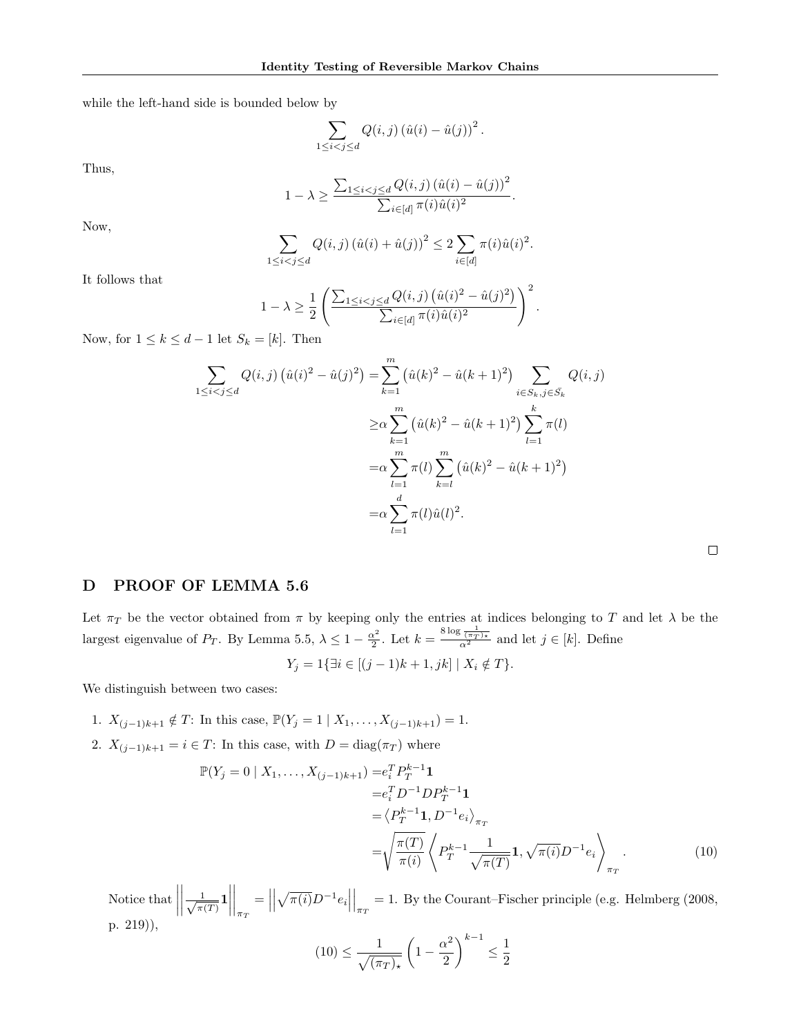while the left-hand side is bounded below by

$$
\sum_{1 \leq i < j \leq d} Q(i, j) \left( \hat{u}(i) - \hat{u}(j) \right)^2.
$$

Thus,

$$
1 - \lambda \ge \frac{\sum_{1 \le i < j \le d} Q(i, j) \left( \hat{u}(i) - \hat{u}(j) \right)^2}{\sum_{i \in [d]} \pi(i) \hat{u}(i)^2}.
$$

Now,

$$
\sum_{1 \le i < j \le d} Q(i, j) \left( \hat{u}(i) + \hat{u}(j) \right)^2 \le 2 \sum_{i \in [d]} \pi(i) \hat{u}(i)^2.
$$

It follows that

$$
1 - \lambda \ge \frac{1}{2} \left( \frac{\sum_{1 \le i < j \le d} Q(i, j) \left( \hat{u}(i)^2 - \hat{u}(j)^2 \right)}{\sum_{i \in [d]} \pi(i) \hat{u}(i)^2} \right)^2.
$$

Now, for  $1 \leq k \leq d-1$  let  $S_k = [k]$ . Then

$$
\sum_{1 \le i < j \le d} Q(i,j) \left( \hat{u}(i)^2 - \hat{u}(j)^2 \right) = \sum_{k=1}^m \left( \hat{u}(k)^2 - \hat{u}(k+1)^2 \right) \sum_{i \in S_k, j \in \bar{S}_k} Q(i,j)
$$
\n
$$
\ge \alpha \sum_{k=1}^m \left( \hat{u}(k)^2 - \hat{u}(k+1)^2 \right) \sum_{l=1}^k \pi(l)
$$
\n
$$
= \alpha \sum_{l=1}^m \pi(l) \sum_{k=l}^m \left( \hat{u}(k)^2 - \hat{u}(k+1)^2 \right)
$$
\n
$$
= \alpha \sum_{l=1}^d \pi(l) \hat{u}(l)^2.
$$

# D PROOF OF LEMMA 5.6

Let  $\pi_T$  be the vector obtained from  $\pi$  by keeping only the entries at indices belonging to T and let  $\lambda$  be the largest eigenvalue of  $P_T$ . By Lemma 5.5,  $\lambda \leq 1 - \frac{\alpha^2}{2}$  $\frac{x^2}{2}$ . Let  $k = \frac{8 \log \frac{1}{(\pi T)^*}}{\alpha^2}$  and let  $j \in [k]$ . Define

$$
Y_j = 1\{\exists i \in [(j-1)k+1, jk] \mid X_i \notin T\}.
$$

We distinguish between two cases:

- 1.  $X_{(j-1)k+1} \notin T$ : In this case,  $\mathbb{P}(Y_j = 1 \mid X_1, \ldots, X_{(j-1)k+1}) = 1$ .
- 2.  $X_{(j-1)k+1} = i \in T$ : In this case, with  $D = \text{diag}(\pi_T)$  where

$$
\mathbb{P}(Y_j = 0 \mid X_1, \dots, X_{(j-1)k+1}) = e_i^T P_T^{k-1} \mathbf{1}
$$
\n
$$
= e_i^T D^{-1} D P_T^{k-1} \mathbf{1}
$$
\n
$$
= \langle P_T^{k-1} \mathbf{1}, D^{-1} e_i \rangle_{\pi_T}
$$
\n
$$
= \sqrt{\frac{\pi(T)}{\pi(i)}} \left\langle P_T^{k-1} \frac{1}{\sqrt{\pi(T)}} \mathbf{1}, \sqrt{\pi(i)} D^{-1} e_i \right\rangle_{\pi_T} . \tag{10}
$$

Notice that  $\Big|$   $\frac{1}{\sqrt{2}}$  $\frac{1}{\pi(T)}1$  $\Bigg\vert_{\pi_T}$  $=$   $\vert$   $\sqrt{\pi(i)}D^{-1}e_i\Big|$  $\Big|_{\pi_T} = 1$ . By the Courant–Fischer principle (e.g. Helmberg (2008, p. 219)),

$$
(10) \le \frac{1}{\sqrt{(\pi_T)_{\star}}} \left(1 - \frac{\alpha^2}{2}\right)^{k-1} \le \frac{1}{2}
$$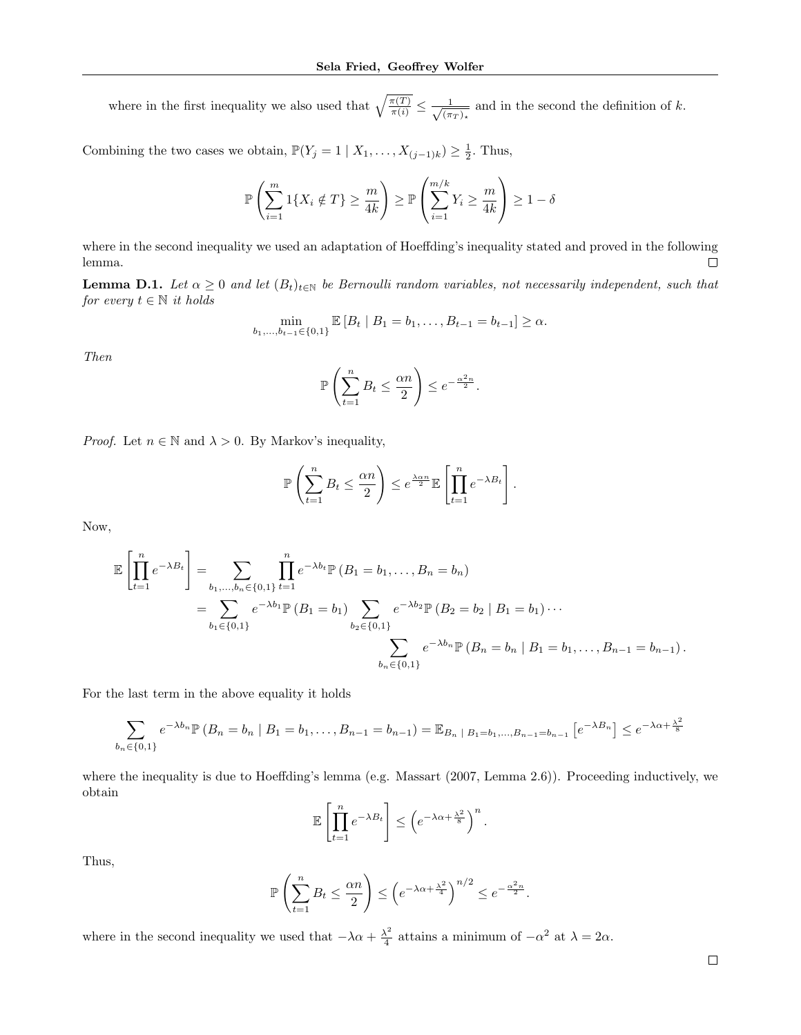where in the first inequality we also used that  $\sqrt{\frac{\pi(T)}{\pi(i)}} \leq \frac{1}{\sqrt{(\pi)}}$  $\frac{1}{(\pi_T)_*}$  and in the second the definition of k.

Combining the two cases we obtain,  $\mathbb{P}(Y_j = 1 | X_1, \ldots, X_{(j-1)k}) \geq \frac{1}{2}$ . Thus,

$$
\mathbb{P}\left(\sum_{i=1}^{m} 1\{X_i \notin T\} \ge \frac{m}{4k}\right) \ge \mathbb{P}\left(\sum_{i=1}^{m/k} Y_i \ge \frac{m}{4k}\right) \ge 1 - \delta
$$

where in the second inequality we used an adaptation of Hoeffding's inequality stated and proved in the following lemma.  $\Box$ 

**Lemma D.1.** Let  $\alpha \geq 0$  and let  $(B_t)_{t \in \mathbb{N}}$  be Bernoulli random variables, not necessarily independent, such that for every  $t \in \mathbb{N}$  it holds

$$
\min_{b_1,\ldots,b_{t-1}\in\{0,1\}} \mathbb{E}\left[B_t \mid B_1 = b_1,\ldots,B_{t-1} = b_{t-1}\right] \geq \alpha.
$$

Then

$$
\mathbb{P}\left(\sum_{t=1}^n B_t \le \frac{\alpha n}{2}\right) \le e^{-\frac{\alpha^2 n}{2}}.
$$

*Proof.* Let  $n \in \mathbb{N}$  and  $\lambda > 0$ . By Markov's inequality,

$$
\mathbb{P}\left(\sum_{t=1}^n B_t \le \frac{\alpha n}{2}\right) \le e^{\frac{\lambda \alpha n}{2}} \mathbb{E}\left[\prod_{t=1}^n e^{-\lambda B_t}\right].
$$

Now,

$$
\mathbb{E}\left[\prod_{t=1}^{n} e^{-\lambda B_t}\right] = \sum_{b_1,\dots,b_n \in \{0,1\}} \prod_{t=1}^{n} e^{-\lambda b_t} \mathbb{P}\left(B_1 = b_1, \dots, B_n = b_n\right)
$$
  
= 
$$
\sum_{b_1 \in \{0,1\}} e^{-\lambda b_1} \mathbb{P}\left(B_1 = b_1\right) \sum_{b_2 \in \{0,1\}} e^{-\lambda b_2} \mathbb{P}\left(B_2 = b_2 \mid B_1 = b_1\right) \cdots
$$
  

$$
\sum_{b_n \in \{0,1\}} e^{-\lambda b_n} \mathbb{P}\left(B_n = b_n \mid B_1 = b_1, \dots, B_{n-1} = b_{n-1}\right).
$$

For the last term in the above equality it holds

$$
\sum_{b_n \in \{0,1\}} e^{-\lambda b_n} \mathbb{P}(B_n = b_n \mid B_1 = b_1, \dots, B_{n-1} = b_{n-1}) = \mathbb{E}_{B_n \mid B_1 = b_1, \dots, B_{n-1} = b_{n-1}} \left[ e^{-\lambda B_n} \right] \le e^{-\lambda \alpha + \frac{\lambda^2}{8}}
$$

where the inequality is due to Hoeffding's lemma (e.g. Massart (2007, Lemma 2.6)). Proceeding inductively, we obtain

$$
\mathbb{E}\left[\prod_{t=1}^n e^{-\lambda B_t}\right] \le \left(e^{-\lambda\alpha + \frac{\lambda^2}{8}}\right)^n.
$$

Thus,

$$
\mathbb{P}\left(\sum_{t=1}^n B_t \le \frac{\alpha n}{2}\right) \le \left(e^{-\lambda \alpha + \frac{\lambda^2}{4}}\right)^{n/2} \le e^{-\frac{\alpha^2 n}{2}}.
$$

where in the second inequality we used that  $-\lambda \alpha + \frac{\lambda^2}{4}$  $\frac{\lambda^2}{4}$  attains a minimum of  $-\alpha^2$  at  $\lambda = 2\alpha$ .

 $\Box$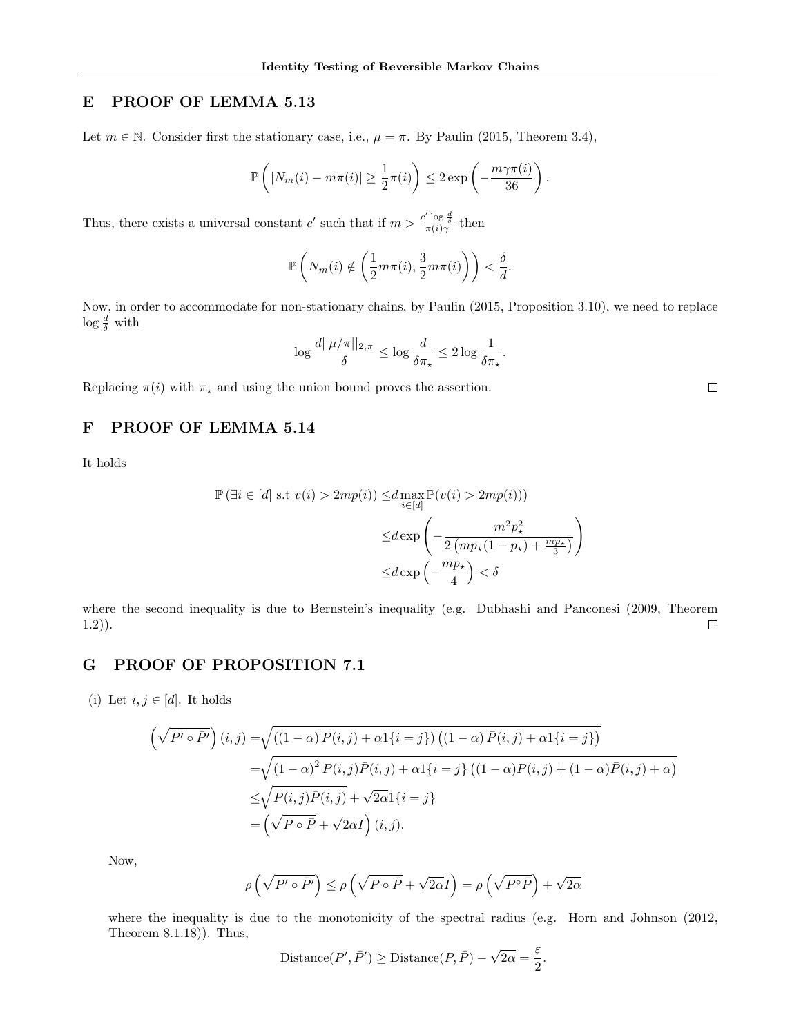# E PROOF OF LEMMA 5.13

Let  $m \in \mathbb{N}$ . Consider first the stationary case, i.e.,  $\mu = \pi$ . By Paulin (2015, Theorem 3.4),

$$
\mathbb{P}\left(|N_m(i) - m\pi(i)| \geq \frac{1}{2}\pi(i)\right) \leq 2\exp\left(-\frac{m\gamma\pi(i)}{36}\right).
$$

Thus, there exists a universal constant c' such that if  $m > \frac{c' \log \frac{d}{\delta}}{\pi(i)\gamma}$  then

$$
\mathbb{P}\left(N_m(i) \notin \left(\frac{1}{2}m\pi(i), \frac{3}{2}m\pi(i)\right)\right) < \frac{\delta}{d}.
$$

Now, in order to accommodate for non-stationary chains, by Paulin (2015, Proposition 3.10), we need to replace  $\log \frac{d}{\delta}$  with

$$
\log \frac{d||\mu/\pi||_{2,\pi}}{\delta} \le \log \frac{d}{\delta \pi_{\star}} \le 2 \log \frac{1}{\delta \pi_{\star}}.
$$

Replacing  $\pi(i)$  with  $\pi_{\star}$  and using the union bound proves the assertion.

# F PROOF OF LEMMA 5.14

It holds

$$
\mathbb{P}(\exists i \in [d] \text{ s.t } v(i) > 2mp(i)) \le d \max_{i \in [d]} \mathbb{P}(v(i) > 2mp(i)))
$$
  

$$
\le d \exp\left(-\frac{m^2 p_\star^2}{2\left(mp_\star(1-p_\star) + \frac{mp_\star}{3}\right)}\right)
$$
  

$$
\le d \exp\left(-\frac{mp_\star}{4}\right) < \delta
$$

where the second inequality is due to Bernstein's inequality (e.g. Dubhashi and Panconesi (2009, Theorem  $\Box$ 1.2)).

# G PROOF OF PROPOSITION 7.1

(i) Let  $i, j \in [d]$ . It holds

$$
\left(\sqrt{P' \circ \bar{P}'}\right)(i,j) = \sqrt{\left((1-\alpha) P(i,j) + \alpha 1\{i=j\}\right) \left((1-\alpha) \bar{P}(i,j) + \alpha 1\{i=j\}\right)}
$$

$$
= \sqrt{\left(1-\alpha\right)^2 P(i,j) \bar{P}(i,j) + \alpha 1\{i=j\} \left((1-\alpha) P(i,j) + (1-\alpha) \bar{P}(i,j) + \alpha\right)}
$$

$$
\leq \sqrt{P(i,j) \bar{P}(i,j)} + \sqrt{2\alpha} 1\{i=j\}
$$

$$
= \left(\sqrt{P \circ \bar{P}} + \sqrt{2\alpha} I\right)(i,j).
$$

Now,

$$
\rho\left(\sqrt{P'\circ\bar{P'}}\right)\leq\rho\left(\sqrt{P\circ\bar{P}}+\sqrt{2\alpha}I\right)=\rho\left(\sqrt{P\circ\bar{P}}\right)+\sqrt{2\alpha}
$$

where the inequality is due to the monotonicity of the spectral radius (e.g. Horn and Johnson (2012, Theorem 8.1.18)). Thus,

Distance
$$
(P', \bar{P}') \geq \text{Distance}(P, \bar{P}) - \sqrt{2\alpha} = \frac{\varepsilon}{2}.
$$

 $\Box$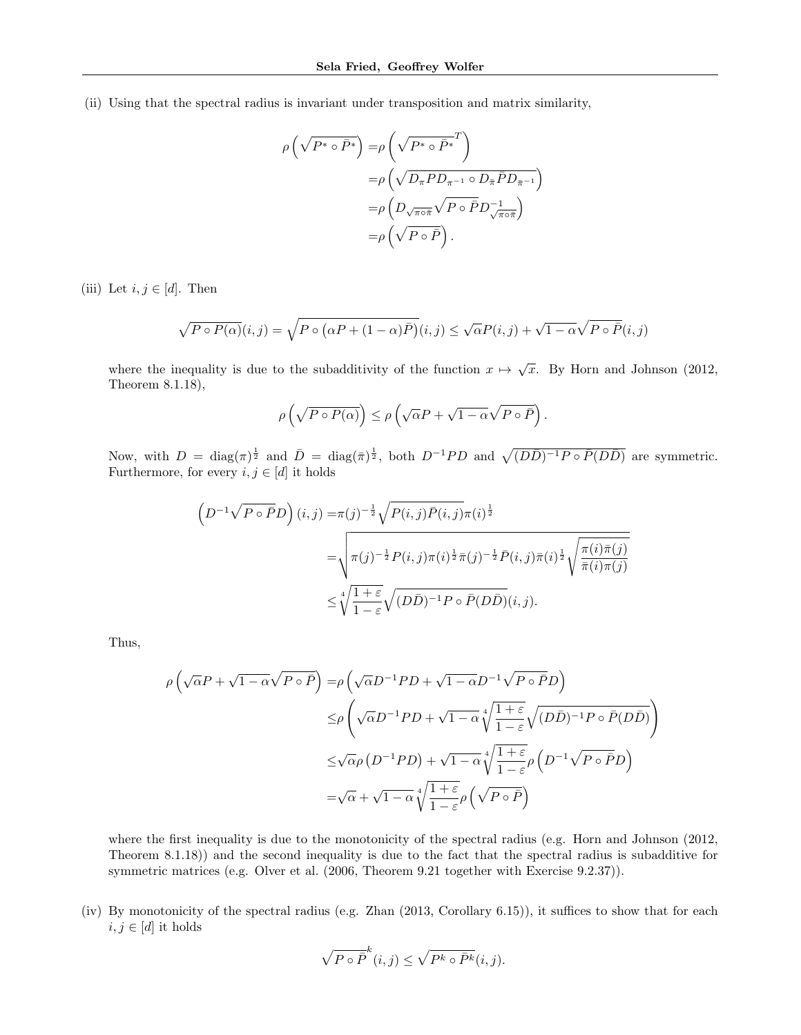(ii) Using that the spectral radius is invariant under transposition and matrix similarity,

$$
\rho\left(\sqrt{P^* \circ \bar{P}^*}\right) = \rho\left(\sqrt{P^* \circ \bar{P}^*}^T\right)
$$

$$
= \rho\left(\sqrt{D_{\pi} P D_{\pi^{-1}} \circ D_{\bar{\pi}} \bar{P} D_{\bar{\pi}^{-1}}}\right)
$$

$$
= \rho\left(D_{\sqrt{\pi \circ \bar{\pi}}} \sqrt{P \circ \bar{P}} D_{\sqrt{\pi \circ \bar{\pi}}}\right)
$$

$$
= \rho\left(\sqrt{P \circ \bar{P}}\right).
$$

(iii) Let  $i, j \in [d]$ . Then

$$
\sqrt{P \circ P(\alpha)}(i,j) = \sqrt{P \circ (\alpha P + (1-\alpha)\overline{P})}(i,j) \leq \sqrt{\alpha}P(i,j) + \sqrt{1-\alpha}\sqrt{P \circ \overline{P}}(i,j)
$$

where the inequality is due to the subadditivity of the function  $x \mapsto \sqrt{x}$ . By Horn and Johnson (2012, Theorem 8.1.18),

$$
\rho\left(\sqrt{P\circ P(\alpha)}\right)\leq\rho\left(\sqrt{\alpha}P+\sqrt{1-\alpha}\sqrt{P\circ\bar{P}}\right).
$$

Now, with  $D = \text{diag}(\pi)^{\frac{1}{2}}$  and  $\overline{D} = \text{diag}(\overline{\pi})^{\frac{1}{2}}$ , both  $D^{-1}PD$  and  $\sqrt{(D\overline{D})^{-1}P \circ \overline{P}(D\overline{D})}$  are symmetric. Furthermore, for every  $i, j \in [d]$  it holds

$$
\left(D^{-1}\sqrt{P\circ\bar{P}}D\right)(i,j) = \pi(j)^{-\frac{1}{2}}\sqrt{P(i,j)\bar{P}(i,j)}\pi(i)^{\frac{1}{2}}
$$
  

$$
= \sqrt{\pi(j)^{-\frac{1}{2}}P(i,j)\pi(i)^{\frac{1}{2}}\bar{\pi}(j)^{-\frac{1}{2}}\bar{P}(i,j)\bar{\pi}(i)^{\frac{1}{2}}}\sqrt{\frac{\pi(i)\bar{\pi}(j)}{\bar{\pi}(i)\pi(j)}}
$$
  

$$
\leq \sqrt[4]{\frac{1+\varepsilon}{1-\varepsilon}}\sqrt{(D\bar{D})^{-1}P\circ\bar{P}(D\bar{D})}(i,j).
$$

Thus,

$$
\rho \left( \sqrt{\alpha} P + \sqrt{1 - \alpha} \sqrt{P \circ \bar{P}} \right) = \rho \left( \sqrt{\alpha} D^{-1} P D + \sqrt{1 - \alpha} D^{-1} \sqrt{P \circ \bar{P}} D \right)
$$
  

$$
\leq \rho \left( \sqrt{\alpha} D^{-1} P D + \sqrt{1 - \alpha} \sqrt[4]{\frac{1 + \varepsilon}{1 - \varepsilon}} \sqrt{(D \bar{D})^{-1} P \circ \bar{P} (D \bar{D})} \right)
$$
  

$$
\leq \sqrt{\alpha} \rho \left( D^{-1} P D \right) + \sqrt{1 - \alpha} \sqrt[4]{\frac{1 + \varepsilon}{1 - \varepsilon}} \rho \left( D^{-1} \sqrt{P \circ \bar{P}} D \right)
$$
  

$$
= \sqrt{\alpha} + \sqrt{1 - \alpha} \sqrt[4]{\frac{1 + \varepsilon}{1 - \varepsilon}} \rho \left( \sqrt{P \circ \bar{P}} \right)
$$

where the first inequality is due to the monotonicity of the spectral radius (e.g. Horn and Johnson (2012, Theorem 8.1.18)) and the second inequality is due to the fact that the spectral radius is subadditive for symmetric matrices (e.g. Olver et al. (2006, Theorem 9.21 together with Exercise 9.2.37)).

(iv) By monotonicity of the spectral radius (e.g. Zhan (2013, Corollary 6.15)), it suffices to show that for each  $i, j \in [d]$  it holds

$$
\sqrt{P \circ \bar{P}}^k(i,j) \le \sqrt{P^k \circ \bar{P}^k}(i,j).
$$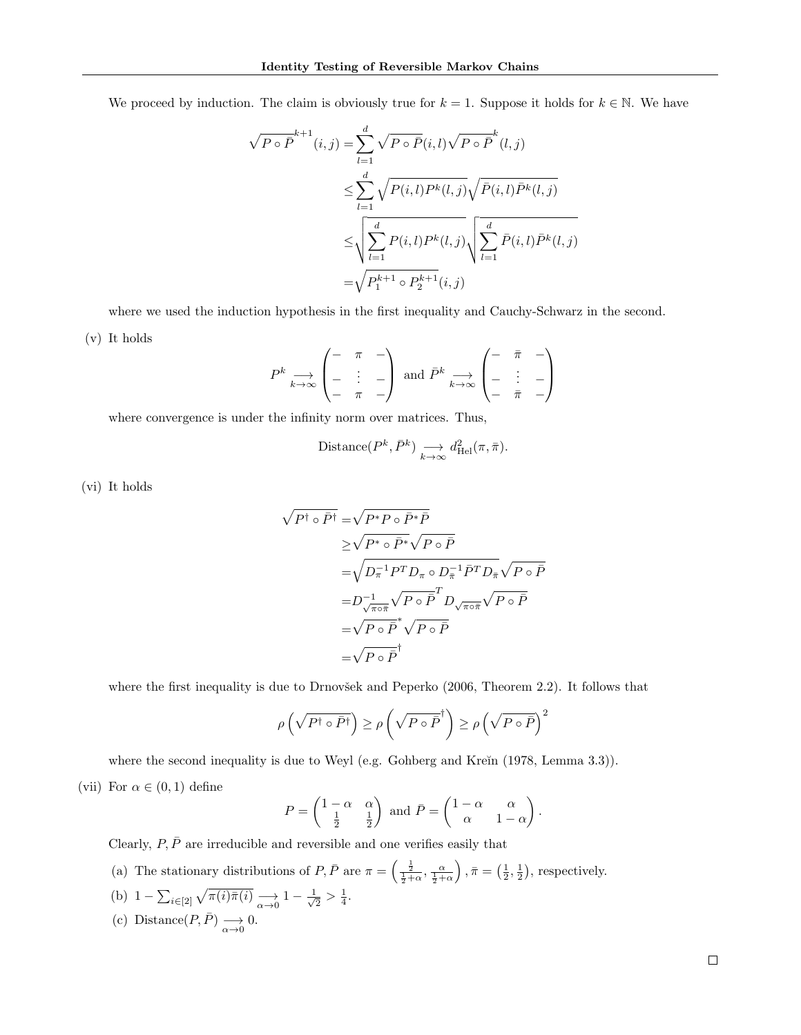We proceed by induction. The claim is obviously true for  $k = 1$ . Suppose it holds for  $k \in \mathbb{N}$ . We have

$$
\sqrt{P \circ \overline{P}}^{k+1}(i,j) = \sum_{l=1}^{d} \sqrt{P \circ \overline{P}}(i,l) \sqrt{P \circ \overline{P}}^{k}(l,j)
$$
  

$$
\leq \sum_{l=1}^{d} \sqrt{P(i,l)P^{k}(l,j)} \sqrt{\overline{P}(i,l)\overline{P}^{k}(l,j)}
$$
  

$$
\leq \sqrt{\sum_{l=1}^{d} P(i,l)P^{k}(l,j)} \sqrt{\sum_{l=1}^{d} \overline{P}(i,l)\overline{P}^{k}(l,j)}
$$
  

$$
= \sqrt{P_{1}^{k+1} \circ P_{2}^{k+1}(i,j)}
$$

where we used the induction hypothesis in the first inequality and Cauchy-Schwarz in the second.

(v) It holds

$$
P^k \underset{k \to \infty}{\longrightarrow} \begin{pmatrix} - & \pi & - \\ - & \vdots & - \\ - & \pi & - \end{pmatrix} \text{ and } \bar{P}^k \underset{k \to \infty}{\longrightarrow} \begin{pmatrix} - & \bar{\pi} & - \\ - & \vdots & - \\ - & \bar{\pi} & - \end{pmatrix}
$$

where convergence is under the infinity norm over matrices. Thus,

Distance
$$
(P^k, \bar{P}^k)
$$
  $\longrightarrow_{k \to \infty} d_{\text{Hel}}^2(\pi, \bar{\pi}).$ 

(vi) It holds

$$
\sqrt{P^{\dagger} \circ \bar{P}^{\dagger}} = \sqrt{P^* P \circ \bar{P}^* \bar{P}}
$$
  
\n
$$
\geq \sqrt{P^* \circ \bar{P}^*} \sqrt{P \circ \bar{P}}
$$
  
\n
$$
= \sqrt{D_{\pi}^{-1} P^T D_{\pi} \circ D_{\bar{\pi}}^{-1} \bar{P}^T D_{\bar{\pi}}} \sqrt{P \circ \bar{P}}
$$
  
\n
$$
= D_{\sqrt{\pi \circ \bar{\pi}}}^{-1} \sqrt{P \circ \bar{P}}^T D_{\sqrt{\pi \circ \bar{\pi}}} \sqrt{P \circ \bar{P}}
$$
  
\n
$$
= \sqrt{P \circ \bar{P}}^* \sqrt{P \circ \bar{P}}
$$
  
\n
$$
= \sqrt{P \circ \bar{P}}^{\dagger}
$$

where the first inequality is due to Drnovšek and Peperko  $(2006,$  Theorem 2.2). It follows that

$$
\rho\left(\sqrt{P^{\dagger} \circ \bar{P}^{\dagger}}\right) \ge \rho\left(\sqrt{P \circ \bar{P}}^{\dagger}\right) \ge \rho\left(\sqrt{P \circ \bar{P}}\right)^2
$$

where the second inequality is due to Weyl (e.g. Gohberg and Kreĭn  $(1978, \text{Lemma } 3.3)$ ). (vii) For  $\alpha \in (0,1)$  define

$$
P = \begin{pmatrix} 1 - \alpha & \alpha \\ \frac{1}{2} & \frac{1}{2} \end{pmatrix} \text{ and } \bar{P} = \begin{pmatrix} 1 - \alpha & \alpha \\ \alpha & 1 - \alpha \end{pmatrix}.
$$

Clearly,  $P, \bar{P}$  are irreducible and reversible and one verifies easily that

- (a) The stationary distributions of  $P, \bar{P}$  are  $\pi = \left(\frac{\frac{1}{2}}{\frac{1}{2}+\alpha}, \frac{\alpha}{\frac{1}{2}+\alpha}\right)$  $\left( \frac{1}{2}, \frac{1}{2} \right)$ , respectively.
- (b)  $1 \sum_{i \in [2]} \sqrt{\pi(i)\bar{\pi}(i)} \longrightarrow_{\alpha \to 0} 1 \frac{1}{\sqrt{\alpha}}$  $\frac{1}{2} > \frac{1}{4}.$
- (c) Distance  $(P, \bar{P}) \longrightarrow_{\alpha \to 0} 0$ .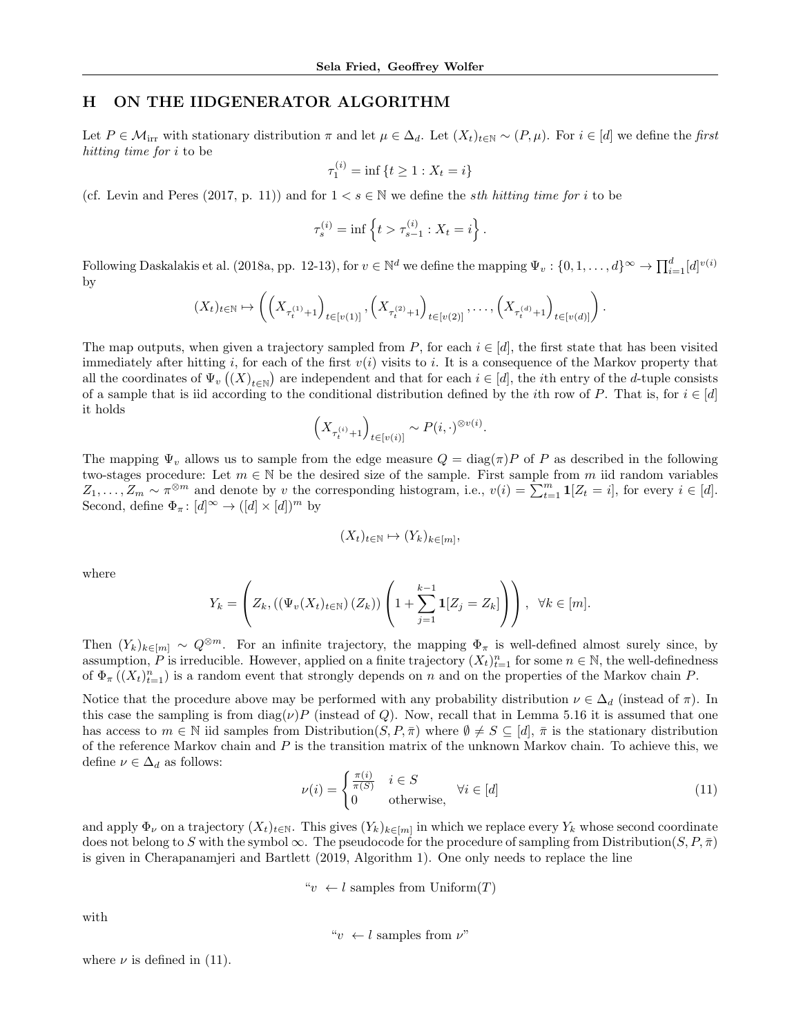#### H ON THE IIDGENERATOR ALGORITHM

Let  $P \in \mathcal{M}_{irr}$  with stationary distribution  $\pi$  and let  $\mu \in \Delta_d$ . Let  $(X_t)_{t \in \mathbb{N}} \sim (P, \mu)$ . For  $i \in [d]$  we define the first hitting time for *i* to be

$$
\tau_1^{(i)} = \inf \{ t \ge 1 : X_t = i \}
$$

(cf. Levin and Peres (2017, p. 11)) and for  $1 < s \in \mathbb{N}$  we define the *sth hitting time for i* to be

$$
\tau_s^{(i)} = \inf \left\{ t > \tau_{s-1}^{(i)} : X_t = i \right\}.
$$

Following Daskalakis et al. (2018a, pp. 12-13), for  $v \in \mathbb{N}^d$  we define the mapping  $\Psi_v: \{0, 1, \ldots, d\}^\infty \to \prod_{i=1}^d [d]^{v(i)}$ by

$$
(X_t)_{t \in \mathbb{N}} \mapsto \left( \left( X_{\tau_t^{(1)} + 1} \right)_{t \in [v(1)]}, \left( X_{\tau_t^{(2)} + 1} \right)_{t \in [v(2)]}, \dots, \left( X_{\tau_t^{(d)} + 1} \right)_{t \in [v(d)]} \right).
$$

The map outputs, when given a trajectory sampled from P, for each  $i \in [d]$ , the first state that has been visited immediately after hitting i, for each of the first  $v(i)$  visits to i. It is a consequence of the Markov property that all the coordinates of  $\Psi_v((X)_{t\in\mathbb{N}})$  are independent and that for each  $i\in[d]$ , the *i*th entry of the *d*-tuple consists of a sample that is iid according to the conditional distribution defined by the *i*th row of P. That is, for  $i \in [d]$ it holds

$$
\left(X_{\tau_t^{(i)}+1}\right)_{t\in [v(i)]}\sim P(i,\cdot)^{\otimes v(i)}.
$$

The mapping  $\Psi_v$  allows us to sample from the edge measure  $Q = \text{diag}(\pi)P$  of P as described in the following two-stages procedure: Let  $m \in \mathbb{N}$  be the desired size of the sample. First sample from m iid random variables  $Z_1, \ldots, Z_m \sim \pi^{\otimes m}$  and denote by v the corresponding histogram, i.e.,  $v(i) = \sum_{t=1}^m \mathbf{1}[Z_t = i]$ , for every  $i \in [d]$ . Second, define  $\Phi_{\pi} : [d]^{\infty} \to ([d] \times [d])^m$  by

$$
(X_t)_{t \in \mathbb{N}} \mapsto (Y_k)_{k \in [m]},
$$

where

$$
Y_k = \left(Z_k, \left((\Psi_v(X_t)_{t \in \mathbb{N}})(Z_k)\right)\left(1 + \sum_{j=1}^{k-1} \mathbf{1}[Z_j = Z_k]\right)\right), \ \ \forall k \in [m].
$$

Then  $(Y_k)_{k\in[m]} \sim Q^{\otimes m}$ . For an infinite trajectory, the mapping  $\Phi_\pi$  is well-defined almost surely since, by assumption, P is irreducible. However, applied on a finite trajectory  $(X_t)_{t=1}^n$  for some  $n \in \mathbb{N}$ , the well-definedness of  $\Phi_{\pi}\left(\left(X_{t}\right)_{t=1}^{n}\right)$  is a random event that strongly depends on n and on the properties of the Markov chain P.

Notice that the procedure above may be performed with any probability distribution  $\nu \in \Delta_d$  (instead of  $\pi$ ). In this case the sampling is from  $\text{diag}(\nu)P$  (instead of Q). Now, recall that in Lemma 5.16 it is assumed that one has access to  $m \in \mathbb{N}$  iid samples from Distribution $(S, P, \overline{\pi})$  where  $\emptyset \neq S \subseteq [d], \overline{\pi}$  is the stationary distribution of the reference Markov chain and  $P$  is the transition matrix of the unknown Markov chain. To achieve this, we define  $\nu \in \Delta_d$  as follows:

$$
\nu(i) = \begin{cases} \frac{\pi(i)}{\pi(S)} & i \in S \\ 0 & \text{otherwise,} \end{cases} \quad \forall i \in [d] \tag{11}
$$

and apply  $\Phi_{\nu}$  on a trajectory  $(X_t)_{t\in\mathbb{N}}$ . This gives  $(Y_k)_{k\in[m]}$  in which we replace every  $Y_k$  whose second coordinate does not belong to S with the symbol  $\infty$ . The pseudocode for the procedure of sampling from Distribution $(S, P, \bar{\pi})$ is given in Cherapanamjeri and Bartlett (2019, Algorithm 1). One only needs to replace the line

" $v \leftarrow l$  samples from Uniform $(T)$ 

with

$$
"v ← l
$$
 samples from  $\nu$ "

where  $\nu$  is defined in (11).